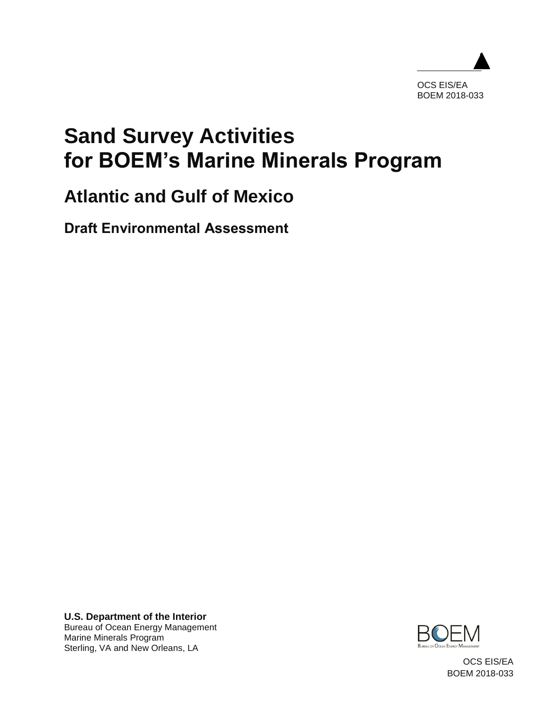

# **Sand Survey Activities for BOEM's Marine Minerals Program**

## **Atlantic and Gulf of Mexico**

**Draft Environmental Assessment**

**U.S. Department of the Interior** Bureau of Ocean Energy Management Marine Minerals Program Sterling, VA and New Orleans, LA



OCS EIS/EA BOEM 2018-033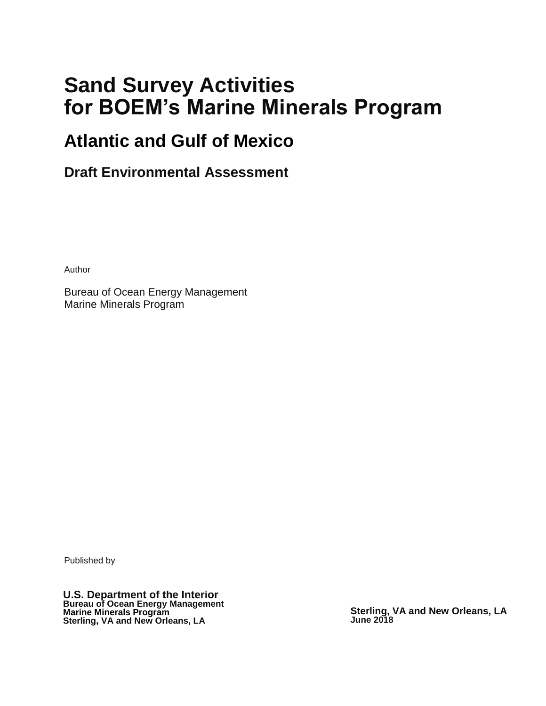# **Sand Survey Activities for BOEM's Marine Minerals Program**

## **Atlantic and Gulf of Mexico**

**Draft Environmental Assessment**

Author

Bureau of Ocean Energy Management Marine Minerals Program

Published by

**U.S. Department of the Interior Bureau of Ocean Energy Management Marine Minerals Program Sterling, VA and New Orleans, LA**

**Sterling, VA and New Orleans, LA June 2018**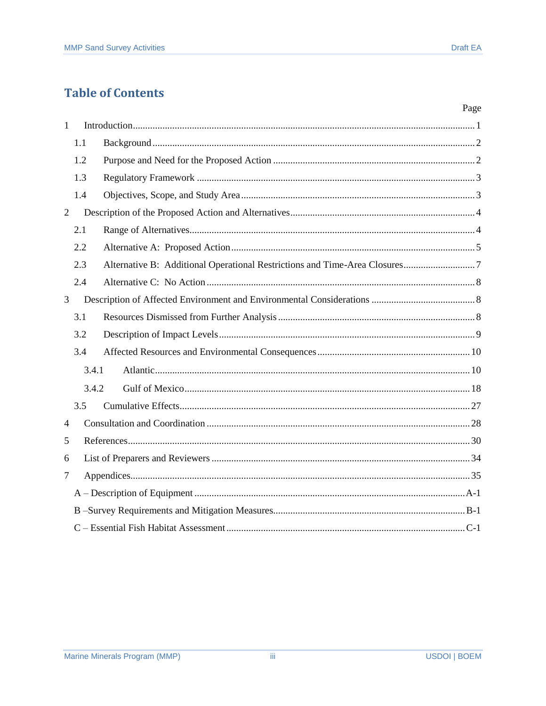## **Table of Contents**

|                |       | Page |
|----------------|-------|------|
| $\mathbf{1}$   |       |      |
|                | 1.1   |      |
|                | 1.2   |      |
|                | 1.3   |      |
|                | 1.4   |      |
| $\overline{2}$ |       |      |
|                | 2.1   |      |
|                | 2.2   |      |
|                | 2.3   |      |
|                | 2.4   |      |
| 3              |       |      |
|                | 3.1   |      |
|                | 3.2   |      |
|                | 3.4   |      |
|                | 3.4.1 |      |
|                | 3.4.2 |      |
|                | 3.5   |      |
| $\overline{4}$ |       |      |
| 5              |       |      |
| 6              |       |      |
| $\tau$         |       |      |
|                |       |      |
|                |       |      |
|                |       |      |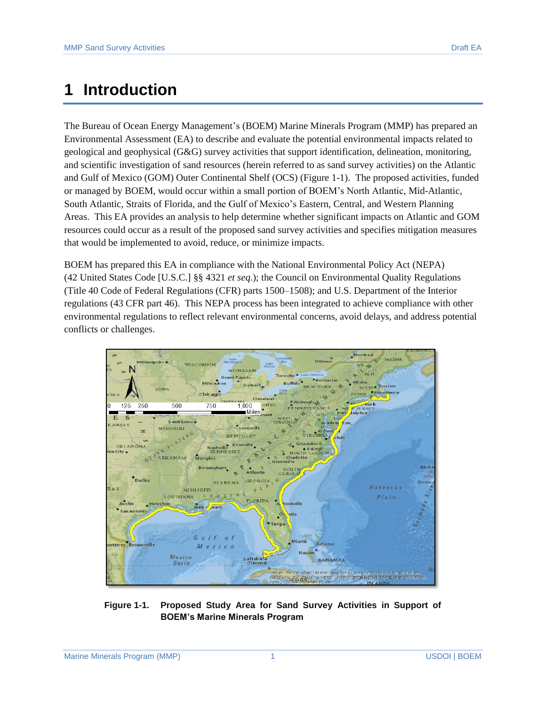## <span id="page-3-0"></span>**1 Introduction**

The Bureau of Ocean Energy Management's (BOEM) Marine Minerals Program (MMP) has prepared an Environmental Assessment (EA) to describe and evaluate the potential environmental impacts related to geological and geophysical (G&G) survey activities that support identification, delineation, monitoring, and scientific investigation of sand resources (herein referred to as sand survey activities) on the Atlantic and Gulf of Mexico (GOM) Outer Continental Shelf (OCS) (Figure 1-1). The proposed activities, funded or managed by BOEM, would occur within a small portion of BOEM's North Atlantic, Mid-Atlantic, South Atlantic, Straits of Florida, and the Gulf of Mexico's Eastern, Central, and Western Planning Areas. This EA provides an analysis to help determine whether significant impacts on Atlantic and GOM resources could occur as a result of the proposed sand survey activities and specifies mitigation measures that would be implemented to avoid, reduce, or minimize impacts.

BOEM has prepared this EA in compliance with the National Environmental Policy Act (NEPA) (42 United States Code [U.S.C.] §§ 4321 *et seq*.); the Council on Environmental Quality Regulations (Title 40 Code of Federal Regulations (CFR) parts 1500–1508); and U.S. Department of the Interior regulations (43 CFR part 46). This NEPA process has been integrated to achieve compliance with other environmental regulations to reflect relevant environmental concerns, avoid delays, and address potential conflicts or challenges.



**Figure 1-1. Proposed Study Area for Sand Survey Activities in Support of BOEM's Marine Minerals Program**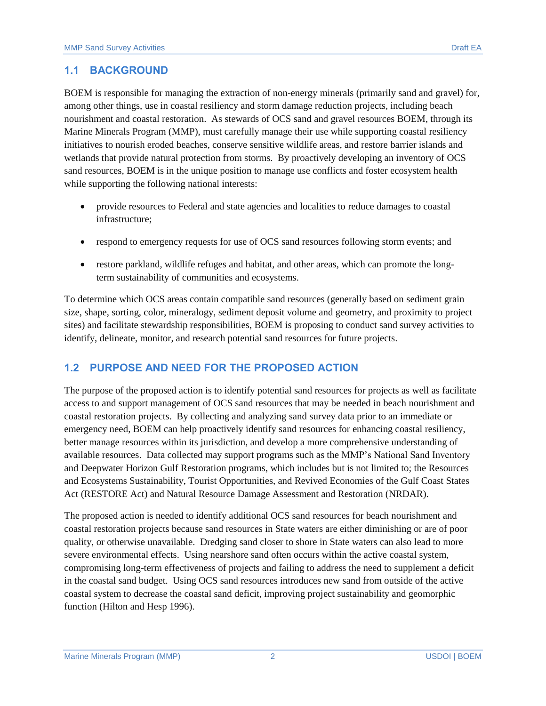## <span id="page-4-0"></span>**1.1 BACKGROUND**

BOEM is responsible for managing the extraction of non-energy minerals (primarily sand and gravel) for, among other things, use in coastal resiliency and storm damage reduction projects, including beach nourishment and coastal restoration. As stewards of OCS sand and gravel resources BOEM, through its Marine Minerals Program (MMP), must carefully manage their use while supporting coastal resiliency initiatives to nourish eroded beaches, conserve sensitive wildlife areas, and restore barrier islands and wetlands that provide natural protection from storms. By proactively developing an inventory of OCS sand resources, BOEM is in the unique position to manage use conflicts and foster ecosystem health while supporting the following national interests:

- provide resources to Federal and state agencies and localities to reduce damages to coastal infrastructure;
- respond to emergency requests for use of OCS sand resources following storm events; and
- restore parkland, wildlife refuges and habitat, and other areas, which can promote the longterm sustainability of communities and ecosystems.

To determine which OCS areas contain compatible sand resources (generally based on sediment grain size, shape, sorting, color, mineralogy, sediment deposit volume and geometry, and proximity to project sites) and facilitate stewardship responsibilities, BOEM is proposing to conduct sand survey activities to identify, delineate, monitor, and research potential sand resources for future projects.

## <span id="page-4-1"></span>**1.2 PURPOSE AND NEED FOR THE PROPOSED ACTION**

The purpose of the proposed action is to identify potential sand resources for projects as well as facilitate access to and support management of OCS sand resources that may be needed in beach nourishment and coastal restoration projects. By collecting and analyzing sand survey data prior to an immediate or emergency need, BOEM can help proactively identify sand resources for enhancing coastal resiliency, better manage resources within its jurisdiction, and develop a more comprehensive understanding of available resources. Data collected may support programs such as the MMP's National Sand Inventory and Deepwater Horizon Gulf Restoration programs, which includes but is not limited to; the Resources and Ecosystems Sustainability, Tourist Opportunities, and Revived Economies of the Gulf Coast States Act (RESTORE Act) and Natural Resource Damage Assessment and Restoration (NRDAR).

The proposed action is needed to identify additional OCS sand resources for beach nourishment and coastal restoration projects because sand resources in State waters are either diminishing or are of poor quality, or otherwise unavailable. Dredging sand closer to shore in State waters can also lead to more severe environmental effects. Using nearshore sand often occurs within the active coastal system, compromising long-term effectiveness of projects and failing to address the need to supplement a deficit in the coastal sand budget. Using OCS sand resources introduces new sand from outside of the active coastal system to decrease the coastal sand deficit, improving project sustainability and geomorphic function (Hilton and Hesp 1996).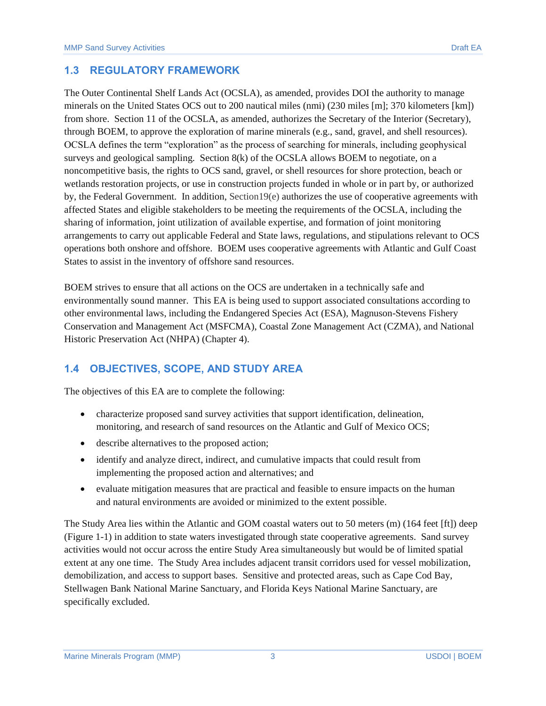### <span id="page-5-0"></span>**1.3 REGULATORY FRAMEWORK**

The Outer Continental Shelf Lands Act (OCSLA), as amended, provides DOI the authority to manage minerals on the United States OCS out to 200 nautical miles (nmi) (230 miles [m]; 370 kilometers [km]) from shore. Section 11 of the OCSLA, as amended, authorizes the Secretary of the Interior (Secretary), through BOEM, to approve the exploration of marine minerals (e.g., sand, gravel, and shell resources). OCSLA defines the term "exploration" as the process of searching for minerals, including geophysical surveys and geological sampling. Section 8(k) of the OCSLA allows BOEM to negotiate, on a noncompetitive basis, the rights to OCS sand, gravel, or shell resources for shore protection, beach or wetlands restoration projects, or use in construction projects funded in whole or in part by, or authorized by, the Federal Government. In addition, Section19(e) authorizes the use of cooperative agreements with affected States and eligible stakeholders to be meeting the requirements of the OCSLA, including the sharing of information, joint utilization of available expertise, and formation of joint monitoring arrangements to carry out applicable Federal and State laws, regulations, and stipulations relevant to OCS operations both onshore and offshore. BOEM uses cooperative agreements with Atlantic and Gulf Coast States to assist in the inventory of offshore sand resources.

BOEM strives to ensure that all actions on the OCS are undertaken in a technically safe and environmentally sound manner. This EA is being used to support associated consultations according to other environmental laws, including the Endangered Species Act (ESA), Magnuson-Stevens Fishery Conservation and Management Act (MSFCMA), Coastal Zone Management Act (CZMA), and National Historic Preservation Act (NHPA) (Chapter 4).

### <span id="page-5-1"></span>**1.4 OBJECTIVES, SCOPE, AND STUDY AREA**

The objectives of this EA are to complete the following:

- characterize proposed sand survey activities that support identification, delineation, monitoring, and research of sand resources on the Atlantic and Gulf of Mexico OCS;
- describe alternatives to the proposed action;
- identify and analyze direct, indirect, and cumulative impacts that could result from implementing the proposed action and alternatives; and
- evaluate mitigation measures that are practical and feasible to ensure impacts on the human and natural environments are avoided or minimized to the extent possible.

The Study Area lies within the Atlantic and GOM coastal waters out to 50 meters (m) (164 feet [ft]) deep (Figure 1-1) in addition to state waters investigated through state cooperative agreements. Sand survey activities would not occur across the entire Study Area simultaneously but would be of limited spatial extent at any one time. The Study Area includes adjacent transit corridors used for vessel mobilization, demobilization, and access to support bases. Sensitive and protected areas, such as Cape Cod Bay, Stellwagen Bank National Marine Sanctuary, and Florida Keys National Marine Sanctuary, are specifically excluded.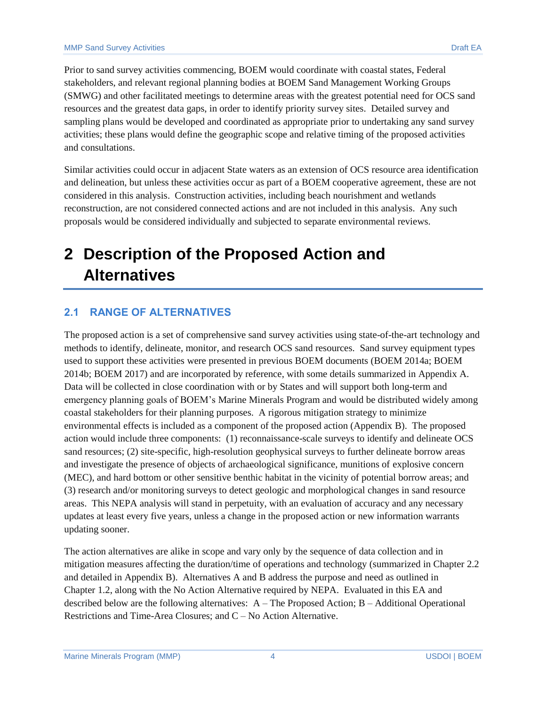Prior to sand survey activities commencing, BOEM would coordinate with coastal states, Federal stakeholders, and relevant regional planning bodies at BOEM Sand Management Working Groups (SMWG) and other facilitated meetings to determine areas with the greatest potential need for OCS sand resources and the greatest data gaps, in order to identify priority survey sites. Detailed survey and sampling plans would be developed and coordinated as appropriate prior to undertaking any sand survey activities; these plans would define the geographic scope and relative timing of the proposed activities and consultations.

Similar activities could occur in adjacent State waters as an extension of OCS resource area identification and delineation, but unless these activities occur as part of a BOEM cooperative agreement, these are not considered in this analysis. Construction activities, including beach nourishment and wetlands reconstruction, are not considered connected actions and are not included in this analysis. Any such proposals would be considered individually and subjected to separate environmental reviews.

## <span id="page-6-0"></span>**2 Description of the Proposed Action and Alternatives**

## <span id="page-6-1"></span>**2.1 RANGE OF ALTERNATIVES**

The proposed action is a set of comprehensive sand survey activities using state-of-the-art technology and methods to identify, delineate, monitor, and research OCS sand resources. Sand survey equipment types used to support these activities were presented in previous BOEM documents (BOEM 2014a; BOEM 2014b; BOEM 2017) and are incorporated by reference, with some details summarized in Appendix A. Data will be collected in close coordination with or by States and will support both long-term and emergency planning goals of BOEM's Marine Minerals Program and would be distributed widely among coastal stakeholders for their planning purposes. A rigorous mitigation strategy to minimize environmental effects is included as a component of the proposed action (Appendix B). The proposed action would include three components: (1) reconnaissance-scale surveys to identify and delineate OCS sand resources; (2) site-specific, high-resolution geophysical surveys to further delineate borrow areas and investigate the presence of objects of archaeological significance, munitions of explosive concern (MEC), and hard bottom or other sensitive benthic habitat in the vicinity of potential borrow areas; and (3) research and/or monitoring surveys to detect geologic and morphological changes in sand resource areas. This NEPA analysis will stand in perpetuity, with an evaluation of accuracy and any necessary updates at least every five years, unless a change in the proposed action or new information warrants updating sooner.

The action alternatives are alike in scope and vary only by the sequence of data collection and in mitigation measures affecting the duration/time of operations and technology (summarized in Chapter 2.2 and detailed in Appendix B). Alternatives A and B address the purpose and need as outlined in Chapter 1.2, along with the No Action Alternative required by NEPA. Evaluated in this EA and described below are the following alternatives: A – The Proposed Action; B – Additional Operational Restrictions and Time-Area Closures; and C – No Action Alternative.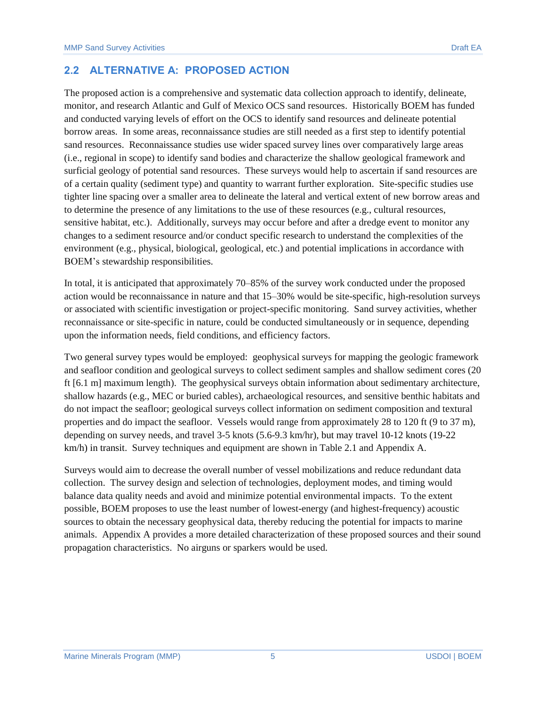### <span id="page-7-0"></span>**2.2 ALTERNATIVE A: PROPOSED ACTION**

The proposed action is a comprehensive and systematic data collection approach to identify, delineate, monitor, and research Atlantic and Gulf of Mexico OCS sand resources. Historically BOEM has funded and conducted varying levels of effort on the OCS to identify sand resources and delineate potential borrow areas. In some areas, reconnaissance studies are still needed as a first step to identify potential sand resources. Reconnaissance studies use wider spaced survey lines over comparatively large areas (i.e., regional in scope) to identify sand bodies and characterize the shallow geological framework and surficial geology of potential sand resources. These surveys would help to ascertain if sand resources are of a certain quality (sediment type) and quantity to warrant further exploration. Site-specific studies use tighter line spacing over a smaller area to delineate the lateral and vertical extent of new borrow areas and to determine the presence of any limitations to the use of these resources (e.g., cultural resources, sensitive habitat, etc.). Additionally, surveys may occur before and after a dredge event to monitor any changes to a sediment resource and/or conduct specific research to understand the complexities of the environment (e.g., physical, biological, geological, etc.) and potential implications in accordance with BOEM's stewardship responsibilities.

In total, it is anticipated that approximately 70–85% of the survey work conducted under the proposed action would be reconnaissance in nature and that 15–30% would be site-specific, high-resolution surveys or associated with scientific investigation or project-specific monitoring. Sand survey activities, whether reconnaissance or site-specific in nature, could be conducted simultaneously or in sequence, depending upon the information needs, field conditions, and efficiency factors.

Two general survey types would be employed: geophysical surveys for mapping the geologic framework and seafloor condition and geological surveys to collect sediment samples and shallow sediment cores (20 ft [6.1 m] maximum length). The geophysical surveys obtain information about sedimentary architecture, shallow hazards (e.g., MEC or buried cables), archaeological resources, and sensitive benthic habitats and do not impact the seafloor; geological surveys collect information on sediment composition and textural properties and do impact the seafloor. Vessels would range from approximately 28 to 120 ft (9 to 37 m), depending on survey needs, and travel 3-5 knots (5.6-9.3 km/hr), but may travel 10-12 knots (19-22 km/h) in transit. Survey techniques and equipment are shown in Table 2.1 and Appendix A.

Surveys would aim to decrease the overall number of vessel mobilizations and reduce redundant data collection. The survey design and selection of technologies, deployment modes, and timing would balance data quality needs and avoid and minimize potential environmental impacts. To the extent possible, BOEM proposes to use the least number of lowest-energy (and highest-frequency) acoustic sources to obtain the necessary geophysical data, thereby reducing the potential for impacts to marine animals. Appendix A provides a more detailed characterization of these proposed sources and their sound propagation characteristics. No airguns or sparkers would be used.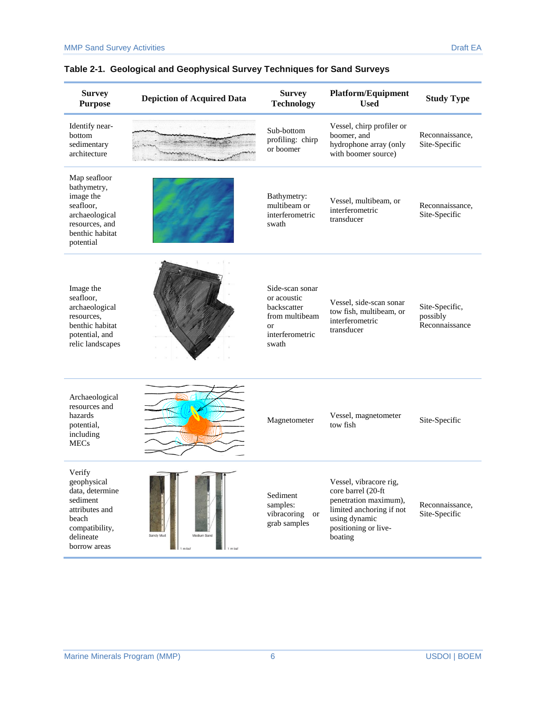| <b>Survey</b><br><b>Purpose</b>                                                                                                | <b>Depiction of Acquired Data</b> | <b>Survey</b><br><b>Technology</b>                                                                       | <b>Platform/Equipment</b><br><b>Used</b>                                                                                                              | <b>Study Type</b>                            |
|--------------------------------------------------------------------------------------------------------------------------------|-----------------------------------|----------------------------------------------------------------------------------------------------------|-------------------------------------------------------------------------------------------------------------------------------------------------------|----------------------------------------------|
| Identify near-<br>bottom<br>sedimentary<br>architecture                                                                        |                                   | Sub-bottom<br>profiling: chirp<br>or boomer                                                              | Vessel, chirp profiler or<br>boomer, and<br>hydrophone array (only<br>with boomer source)                                                             | Reconnaissance,<br>Site-Specific             |
| Map seafloor<br>bathymetry,<br>image the<br>seafloor.<br>archaeological<br>resources, and<br>benthic habitat<br>potential      |                                   | Bathymetry:<br>multibeam or<br>interferometric<br>swath                                                  | Vessel, multibeam, or<br>interferometric<br>transducer                                                                                                | Reconnaissance,<br>Site-Specific             |
| Image the<br>seafloor,<br>archaeological<br>resources,<br>benthic habitat<br>potential, and<br>relic landscapes                |                                   | Side-scan sonar<br>or acoustic<br>backscatter<br>from multibeam<br><b>or</b><br>interferometric<br>swath | Vessel, side-scan sonar<br>tow fish, multibeam, or<br>interferometric<br>transducer                                                                   | Site-Specific,<br>possibly<br>Reconnaissance |
| Archaeological<br>resources and<br>hazards<br>potential,<br>including<br><b>MECs</b>                                           |                                   | Magnetometer                                                                                             | Vessel, magnetometer<br>tow fish                                                                                                                      | Site-Specific                                |
| Verify<br>geophysical<br>data, determine<br>sediment<br>attributes and<br>beach<br>compatibility,<br>delineate<br>borrow areas | Sandy Mud<br>Medium Sand          | Sediment<br>samples:<br>vibracoring<br><b>or</b><br>grab samples                                         | Vessel, vibracore rig,<br>core barrel (20-ft<br>penetration maximum),<br>limited anchoring if not<br>using dynamic<br>positioning or live-<br>boating | Reconnaissance,<br>Site-Specific             |

#### **Table 2-1. Geological and Geophysical Survey Techniques for Sand Surveys**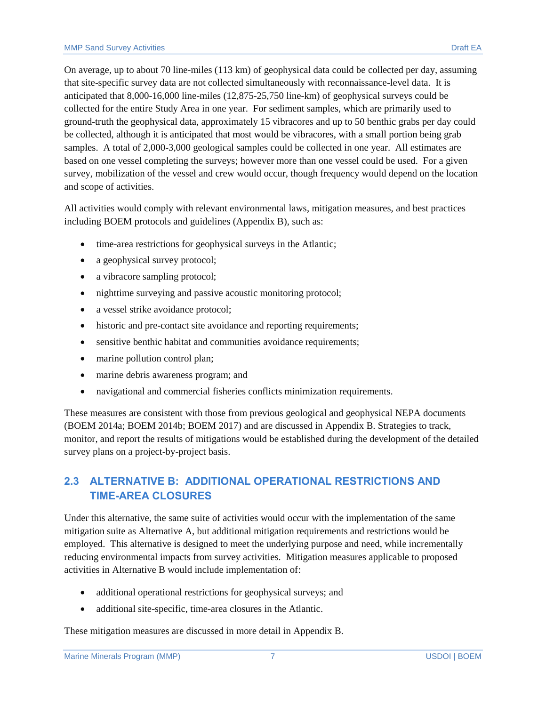On average, up to about 70 line-miles (113 km) of geophysical data could be collected per day, assuming that site-specific survey data are not collected simultaneously with reconnaissance-level data. It is anticipated that 8,000-16,000 line-miles (12,875-25,750 line-km) of geophysical surveys could be collected for the entire Study Area in one year. For sediment samples, which are primarily used to ground-truth the geophysical data, approximately 15 vibracores and up to 50 benthic grabs per day could be collected, although it is anticipated that most would be vibracores, with a small portion being grab samples. A total of 2,000-3,000 geological samples could be collected in one year. All estimates are based on one vessel completing the surveys; however more than one vessel could be used. For a given survey, mobilization of the vessel and crew would occur, though frequency would depend on the location and scope of activities.

All activities would comply with relevant environmental laws, mitigation measures, and best practices including BOEM protocols and guidelines (Appendix B), such as:

- time-area restrictions for geophysical surveys in the Atlantic;
- a geophysical survey protocol;
- a vibracore sampling protocol;
- nighttime surveying and passive acoustic monitoring protocol;
- a vessel strike avoidance protocol;
- historic and pre-contact site avoidance and reporting requirements;
- sensitive benthic habitat and communities avoidance requirements;
- marine pollution control plan;
- marine debris awareness program; and
- navigational and commercial fisheries conflicts minimization requirements.

These measures are consistent with those from previous geological and geophysical NEPA documents (BOEM 2014a; BOEM 2014b; BOEM 2017) and are discussed in Appendix B. Strategies to track, monitor, and report the results of mitigations would be established during the development of the detailed survey plans on a project-by-project basis.

## <span id="page-9-0"></span>**2.3 ALTERNATIVE B: ADDITIONAL OPERATIONAL RESTRICTIONS AND TIME-AREA CLOSURES**

Under this alternative, the same suite of activities would occur with the implementation of the same mitigation suite as Alternative A, but additional mitigation requirements and restrictions would be employed. This alternative is designed to meet the underlying purpose and need, while incrementally reducing environmental impacts from survey activities. Mitigation measures applicable to proposed activities in Alternative B would include implementation of:

- additional operational restrictions for geophysical surveys; and
- additional site-specific, time-area closures in the Atlantic.

These mitigation measures are discussed in more detail in Appendix B.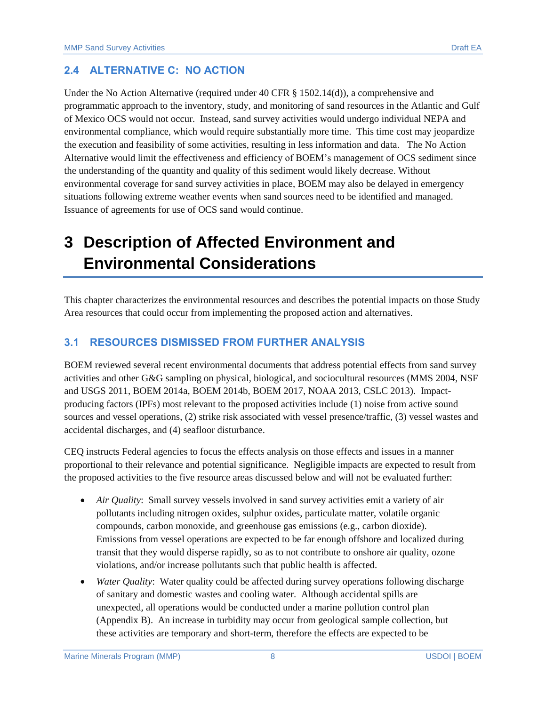### <span id="page-10-0"></span>**2.4 ALTERNATIVE C: NO ACTION**

Under the No Action Alternative (required under 40 CFR § 1502.14(d)), a comprehensive and programmatic approach to the inventory, study, and monitoring of sand resources in the Atlantic and Gulf of Mexico OCS would not occur. Instead, sand survey activities would undergo individual NEPA and environmental compliance, which would require substantially more time. This time cost may jeopardize the execution and feasibility of some activities, resulting in less information and data. The No Action Alternative would limit the effectiveness and efficiency of BOEM's management of OCS sediment since the understanding of the quantity and quality of this sediment would likely decrease. Without environmental coverage for sand survey activities in place, BOEM may also be delayed in emergency situations following extreme weather events when sand sources need to be identified and managed. Issuance of agreements for use of OCS sand would continue.

## <span id="page-10-1"></span>**3 Description of Affected Environment and Environmental Considerations**

This chapter characterizes the environmental resources and describes the potential impacts on those Study Area resources that could occur from implementing the proposed action and alternatives.

### <span id="page-10-2"></span>**3.1 RESOURCES DISMISSED FROM FURTHER ANALYSIS**

BOEM reviewed several recent environmental documents that address potential effects from sand survey activities and other G&G sampling on physical, biological, and sociocultural resources (MMS 2004, NSF and USGS 2011, BOEM 2014a, BOEM 2014b, BOEM 2017, NOAA 2013, CSLC 2013). Impactproducing factors (IPFs) most relevant to the proposed activities include (1) noise from active sound sources and vessel operations, (2) strike risk associated with vessel presence/traffic, (3) vessel wastes and accidental discharges, and (4) seafloor disturbance.

CEQ instructs Federal agencies to focus the effects analysis on those effects and issues in a manner proportional to their relevance and potential significance. Negligible impacts are expected to result from the proposed activities to the five resource areas discussed below and will not be evaluated further:

- Air *Quality*: Small survey vessels involved in sand survey activities emit a variety of air pollutants including nitrogen oxides, sulphur oxides, particulate matter, volatile organic compounds, carbon monoxide, and greenhouse gas emissions (e.g., carbon dioxide). Emissions from vessel operations are expected to be far enough offshore and localized during transit that they would disperse rapidly, so as to not contribute to onshore air quality, ozone violations, and/or increase pollutants such that public health is affected.
- *Water Quality*: Water quality could be affected during survey operations following discharge of sanitary and domestic wastes and cooling water. Although accidental spills are unexpected, all operations would be conducted under a marine pollution control plan (Appendix B). An increase in turbidity may occur from geological sample collection, but these activities are temporary and short-term, therefore the effects are expected to be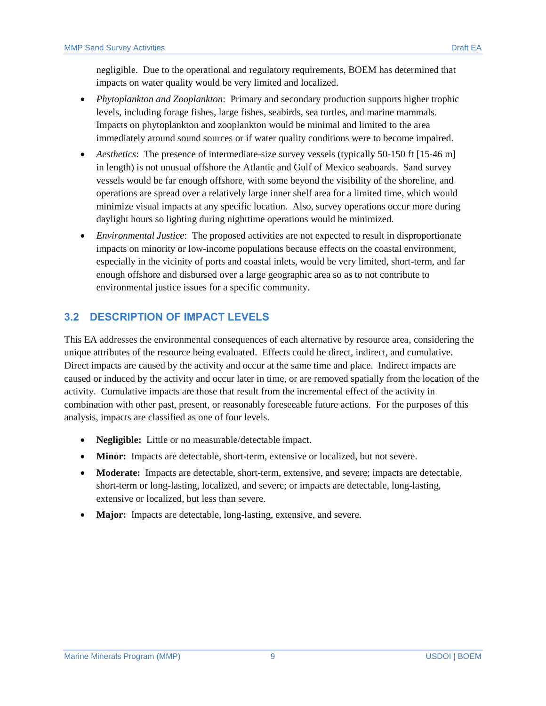negligible. Due to the operational and regulatory requirements, BOEM has determined that impacts on water quality would be very limited and localized.

- *Phytoplankton and Zooplankton*: Primary and secondary production supports higher trophic levels, including forage fishes, large fishes, seabirds, sea turtles, and marine mammals. Impacts on phytoplankton and zooplankton would be minimal and limited to the area immediately around sound sources or if water quality conditions were to become impaired.
- *Aesthetics*: The presence of intermediate-size survey vessels (typically 50-150 ft [15-46 m] in length) is not unusual offshore the Atlantic and Gulf of Mexico seaboards. Sand survey vessels would be far enough offshore, with some beyond the visibility of the shoreline, and operations are spread over a relatively large inner shelf area for a limited time, which would minimize visual impacts at any specific location. Also, survey operations occur more during daylight hours so lighting during nighttime operations would be minimized.
- *Environmental Justice*: The proposed activities are not expected to result in disproportionate impacts on minority or low-income populations because effects on the coastal environment, especially in the vicinity of ports and coastal inlets, would be very limited, short-term, and far enough offshore and disbursed over a large geographic area so as to not contribute to environmental justice issues for a specific community.

## <span id="page-11-0"></span>**3.2 DESCRIPTION OF IMPACT LEVELS**

This EA addresses the environmental consequences of each alternative by resource area, considering the unique attributes of the resource being evaluated. Effects could be direct, indirect, and cumulative. Direct impacts are caused by the activity and occur at the same time and place. Indirect impacts are caused or induced by the activity and occur later in time, or are removed spatially from the location of the activity. Cumulative impacts are those that result from the incremental effect of the activity in combination with other past, present, or reasonably foreseeable future actions. For the purposes of this analysis, impacts are classified as one of four levels.

- **Negligible:** Little or no measurable/detectable impact.
- **Minor:** Impacts are detectable, short-term, extensive or localized, but not severe.
- **Moderate:** Impacts are detectable, short-term, extensive, and severe; impacts are detectable, short-term or long-lasting, localized, and severe; or impacts are detectable, long-lasting, extensive or localized, but less than severe.
- **Major:** Impacts are detectable, long-lasting, extensive, and severe.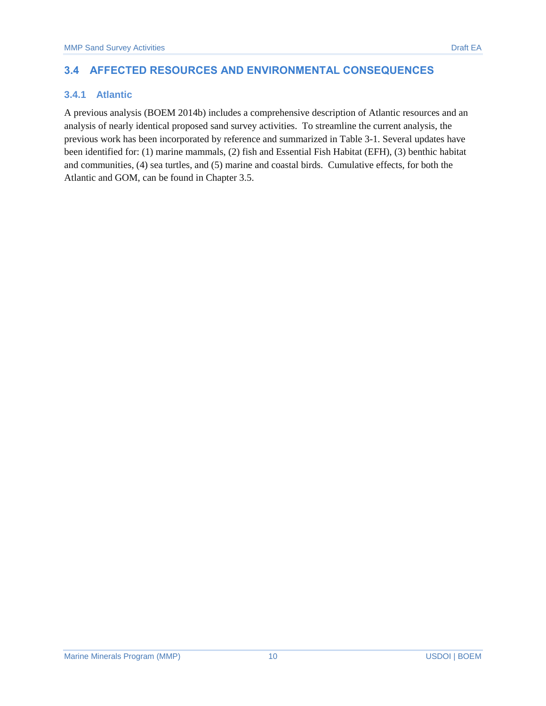### <span id="page-12-1"></span><span id="page-12-0"></span>**3.4.1 Atlantic**

A previous analysis (BOEM 2014b) includes a comprehensive description of Atlantic resources and an analysis of nearly identical proposed sand survey activities. To streamline the current analysis, the previous work has been incorporated by reference and summarized in Table 3-1. Several updates have been identified for: (1) marine mammals, (2) fish and Essential Fish Habitat (EFH), (3) benthic habitat and communities, (4) sea turtles, and (5) marine and coastal birds. Cumulative effects, for both the Atlantic and GOM, can be found in Chapter 3.5.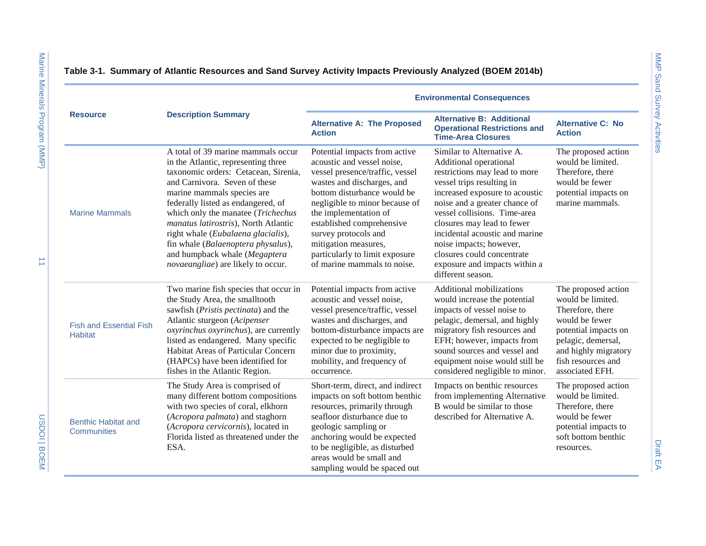Draft EA

|                                                  | <b>Description Summary</b>                                                                                                                                                                                                                                                                                                                                                                                                                                      | <b>Environmental Consequences</b>                                                                                                                                                                                                                                                                                                                                    |                                                                                                                                                                                                                                                                                                                                                                                                     |                                                                                                                                                                                               |  |
|--------------------------------------------------|-----------------------------------------------------------------------------------------------------------------------------------------------------------------------------------------------------------------------------------------------------------------------------------------------------------------------------------------------------------------------------------------------------------------------------------------------------------------|----------------------------------------------------------------------------------------------------------------------------------------------------------------------------------------------------------------------------------------------------------------------------------------------------------------------------------------------------------------------|-----------------------------------------------------------------------------------------------------------------------------------------------------------------------------------------------------------------------------------------------------------------------------------------------------------------------------------------------------------------------------------------------------|-----------------------------------------------------------------------------------------------------------------------------------------------------------------------------------------------|--|
| <b>Resource</b>                                  |                                                                                                                                                                                                                                                                                                                                                                                                                                                                 | <b>Alternative A: The Proposed</b><br><b>Action</b>                                                                                                                                                                                                                                                                                                                  | <b>Alternative B: Additional</b><br><b>Operational Restrictions and</b><br><b>Time-Area Closures</b>                                                                                                                                                                                                                                                                                                | <b>Alternative C: No</b><br><b>Action</b>                                                                                                                                                     |  |
| <b>Marine Mammals</b>                            | A total of 39 marine mammals occur<br>in the Atlantic, representing three<br>taxonomic orders: Cetacean, Sirenia,<br>and Carnivora. Seven of these<br>marine mammals species are<br>federally listed as endangered, of<br>which only the manatee (Trichechus<br>manatus latirostris), North Atlantic<br>right whale (Eubalaena glacialis),<br>fin whale (Balaenoptera physalus),<br>and humpback whale (Megaptera<br><i>novaeangliae</i> ) are likely to occur. | Potential impacts from active<br>acoustic and vessel noise,<br>vessel presence/traffic, vessel<br>wastes and discharges, and<br>bottom disturbance would be<br>negligible to minor because of<br>the implementation of<br>established comprehensive<br>survey protocols and<br>mitigation measures,<br>particularly to limit exposure<br>of marine mammals to noise. | Similar to Alternative A.<br>Additional operational<br>restrictions may lead to more<br>vessel trips resulting in<br>increased exposure to acoustic<br>noise and a greater chance of<br>vessel collisions. Time-area<br>closures may lead to fewer<br>incidental acoustic and marine<br>noise impacts; however,<br>closures could concentrate<br>exposure and impacts within a<br>different season. | The proposed action<br>would be limited.<br>Therefore, there<br>would be fewer<br>potential impacts on<br>marine mammals.                                                                     |  |
| <b>Fish and Essential Fish</b><br><b>Habitat</b> | Two marine fish species that occur in<br>the Study Area, the smalltooth<br>sawfish (Pristis pectinata) and the<br>Atlantic sturgeon (Acipenser<br>oxyrinchus oxyrinchus), are currently<br>listed as endangered. Many specific<br>Habitat Areas of Particular Concern<br>(HAPCs) have been identified for<br>fishes in the Atlantic Region.                                                                                                                     | Potential impacts from active<br>acoustic and vessel noise,<br>vessel presence/traffic, vessel<br>wastes and discharges, and<br>bottom-disturbance impacts are<br>expected to be negligible to<br>minor due to proximity,<br>mobility, and frequency of<br>occurrence.                                                                                               | Additional mobilizations<br>would increase the potential<br>impacts of vessel noise to<br>pelagic, demersal, and highly<br>migratory fish resources and<br>EFH; however, impacts from<br>sound sources and vessel and<br>equipment noise would still be<br>considered negligible to minor.                                                                                                          | The proposed action<br>would be limited.<br>Therefore, there<br>would be fewer<br>potential impacts on<br>pelagic, demersal,<br>and highly migratory<br>fish resources and<br>associated EFH. |  |
| <b>Benthic Habitat and</b><br><b>Communities</b> | The Study Area is comprised of<br>many different bottom compositions<br>with two species of coral, elkhorn<br>(Acropora palmata) and staghorn<br>(Acropora cervicornis), located in<br>Florida listed as threatened under the<br>ESA.                                                                                                                                                                                                                           | Short-term, direct, and indirect<br>impacts on soft bottom benthic<br>resources, primarily through<br>seafloor disturbance due to<br>geologic sampling or<br>anchoring would be expected<br>to be negligible, as disturbed<br>areas would be small and<br>sampling would be spaced out                                                                               | Impacts on benthic resources<br>from implementing Alternative<br>B would be similar to those<br>described for Alternative A.                                                                                                                                                                                                                                                                        | The proposed action<br>would be limited.<br>Therefore, there<br>would be fewer<br>potential impacts to<br>soft bottom benthic<br>resources.                                                   |  |

### **Table 3-1. Summary of Atlantic Resources and Sand Survey Activity Impacts Previously Analyzed (BOEM 2014b)**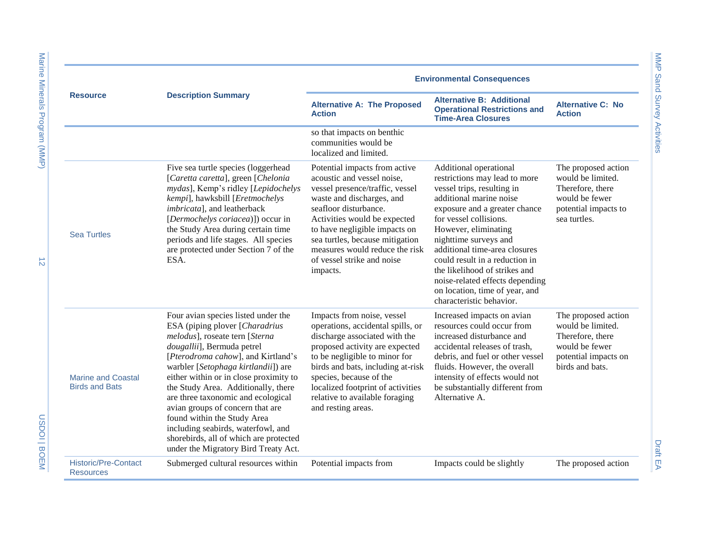|                                                    | <b>Description Summary</b>                                                                                                                                                                                                                                                                                                                                                                                                                                                                                                           | <b>Environmental Consequences</b>                                                                                                                                                                                                                                                                                                    |                                                                                                                                                                                                                                                                                                                                                                                                                                   |                                                                                                                           |  |
|----------------------------------------------------|--------------------------------------------------------------------------------------------------------------------------------------------------------------------------------------------------------------------------------------------------------------------------------------------------------------------------------------------------------------------------------------------------------------------------------------------------------------------------------------------------------------------------------------|--------------------------------------------------------------------------------------------------------------------------------------------------------------------------------------------------------------------------------------------------------------------------------------------------------------------------------------|-----------------------------------------------------------------------------------------------------------------------------------------------------------------------------------------------------------------------------------------------------------------------------------------------------------------------------------------------------------------------------------------------------------------------------------|---------------------------------------------------------------------------------------------------------------------------|--|
| <b>Resource</b>                                    |                                                                                                                                                                                                                                                                                                                                                                                                                                                                                                                                      | <b>Alternative A: The Proposed</b><br><b>Action</b>                                                                                                                                                                                                                                                                                  | <b>Alternative B: Additional</b><br><b>Operational Restrictions and</b><br><b>Time-Area Closures</b>                                                                                                                                                                                                                                                                                                                              | <b>Alternative C: No</b><br><b>Action</b>                                                                                 |  |
|                                                    |                                                                                                                                                                                                                                                                                                                                                                                                                                                                                                                                      | so that impacts on benthic<br>communities would be<br>localized and limited.                                                                                                                                                                                                                                                         |                                                                                                                                                                                                                                                                                                                                                                                                                                   |                                                                                                                           |  |
| <b>Sea Turtles</b>                                 | Five sea turtle species (loggerhead<br>[Caretta caretta], green [Chelonia<br>mydas], Kemp's ridley [Lepidochelys<br>kempi], hawksbill [Eretmochelys<br>imbricata], and leatherback<br>[Dermochelys coriacea]]) occur in<br>the Study Area during certain time<br>periods and life stages. All species<br>are protected under Section 7 of the<br>ESA.                                                                                                                                                                                | Potential impacts from active<br>acoustic and vessel noise,<br>vessel presence/traffic, vessel<br>waste and discharges, and<br>seafloor disturbance.<br>Activities would be expected<br>to have negligible impacts on<br>sea turtles, because mitigation<br>measures would reduce the risk<br>of vessel strike and noise<br>impacts. | Additional operational<br>restrictions may lead to more<br>vessel trips, resulting in<br>additional marine noise<br>exposure and a greater chance<br>for vessel collisions.<br>However, eliminating<br>nighttime surveys and<br>additional time-area closures<br>could result in a reduction in<br>the likelihood of strikes and<br>noise-related effects depending<br>on location, time of year, and<br>characteristic behavior. | The proposed action<br>would be limited.<br>Therefore, there<br>would be fewer<br>potential impacts to<br>sea turtles.    |  |
| <b>Marine and Coastal</b><br><b>Birds and Bats</b> | Four avian species listed under the<br>ESA (piping plover [Charadrius<br>melodus], roseate tern [Sterna<br>dougallii], Bermuda petrel<br>[Pterodroma cahow], and Kirtland's<br>warbler [Setophaga kirtlandii]) are<br>either within or in close proximity to<br>the Study Area. Additionally, there<br>are three taxonomic and ecological<br>avian groups of concern that are<br>found within the Study Area<br>including seabirds, waterfowl, and<br>shorebirds, all of which are protected<br>under the Migratory Bird Treaty Act. | Impacts from noise, vessel<br>operations, accidental spills, or<br>discharge associated with the<br>proposed activity are expected<br>to be negligible to minor for<br>birds and bats, including at-risk<br>species, because of the<br>localized footprint of activities<br>relative to available foraging<br>and resting areas.     | Increased impacts on avian<br>resources could occur from<br>increased disturbance and<br>accidental releases of trash,<br>debris, and fuel or other vessel<br>fluids. However, the overall<br>intensity of effects would not<br>be substantially different from<br>Alternative A.                                                                                                                                                 | The proposed action<br>would be limited.<br>Therefore, there<br>would be fewer<br>potential impacts on<br>birds and bats. |  |
| <b>Historic/Pre-Contact</b><br><b>Resources</b>    | Submerged cultural resources within                                                                                                                                                                                                                                                                                                                                                                                                                                                                                                  | Potential impacts from                                                                                                                                                                                                                                                                                                               | Impacts could be slightly                                                                                                                                                                                                                                                                                                                                                                                                         | The proposed action                                                                                                       |  |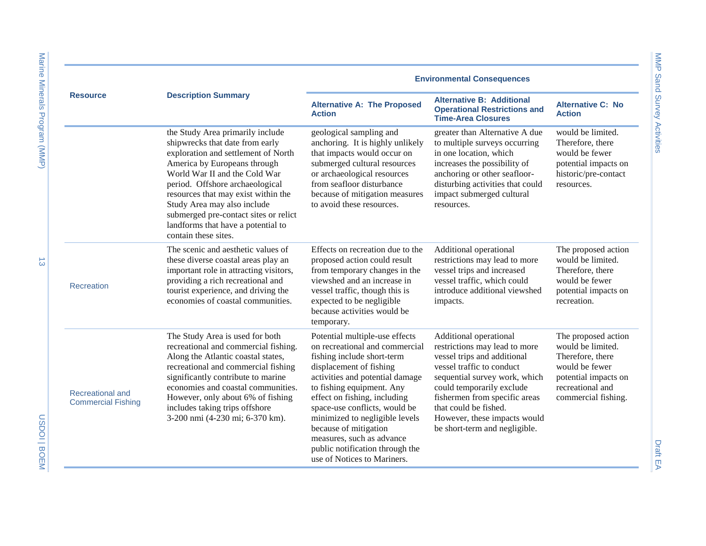|                                                      |                                                                                                                                                                                                                                                                                                                                                                                             | <b>Environmental Consequences</b>                                                                                                                                                                                                                                                                                                                                                                                    |                                                                                                                                                                                                                                                                                                              |                                                                                                                                                   |  |
|------------------------------------------------------|---------------------------------------------------------------------------------------------------------------------------------------------------------------------------------------------------------------------------------------------------------------------------------------------------------------------------------------------------------------------------------------------|----------------------------------------------------------------------------------------------------------------------------------------------------------------------------------------------------------------------------------------------------------------------------------------------------------------------------------------------------------------------------------------------------------------------|--------------------------------------------------------------------------------------------------------------------------------------------------------------------------------------------------------------------------------------------------------------------------------------------------------------|---------------------------------------------------------------------------------------------------------------------------------------------------|--|
| <b>Resource</b>                                      | <b>Description Summary</b>                                                                                                                                                                                                                                                                                                                                                                  | <b>Alternative A: The Proposed</b><br><b>Action</b>                                                                                                                                                                                                                                                                                                                                                                  | <b>Alternative B: Additional</b><br><b>Alternative C: No</b><br><b>Operational Restrictions and</b><br><b>Action</b><br><b>Time-Area Closures</b>                                                                                                                                                            |                                                                                                                                                   |  |
|                                                      | the Study Area primarily include<br>shipwrecks that date from early<br>exploration and settlement of North<br>America by Europeans through<br>World War II and the Cold War<br>period. Offshore archaeological<br>resources that may exist within the<br>Study Area may also include<br>submerged pre-contact sites or relict<br>landforms that have a potential to<br>contain these sites. | geological sampling and<br>anchoring. It is highly unlikely<br>that impacts would occur on<br>submerged cultural resources<br>or archaeological resources<br>from seafloor disturbance<br>because of mitigation measures<br>to avoid these resources.                                                                                                                                                                | greater than Alternative A due<br>to multiple surveys occurring<br>in one location, which<br>increases the possibility of<br>anchoring or other seafloor-<br>disturbing activities that could<br>impact submerged cultural<br>resources.                                                                     | would be limited.<br>Therefore, there<br>would be fewer<br>potential impacts on<br>historic/pre-contact<br>resources.                             |  |
| <b>Recreation</b>                                    | The scenic and aesthetic values of<br>these diverse coastal areas play an<br>important role in attracting visitors,<br>providing a rich recreational and<br>tourist experience, and driving the<br>economies of coastal communities.                                                                                                                                                        | Effects on recreation due to the<br>proposed action could result<br>from temporary changes in the<br>viewshed and an increase in<br>vessel traffic, though this is<br>expected to be negligible<br>because activities would be<br>temporary.                                                                                                                                                                         | Additional operational<br>restrictions may lead to more<br>vessel trips and increased<br>vessel traffic, which could<br>introduce additional viewshed<br>impacts.                                                                                                                                            | The proposed action<br>would be limited.<br>Therefore, there<br>would be fewer<br>potential impacts on<br>recreation.                             |  |
| <b>Recreational and</b><br><b>Commercial Fishing</b> | The Study Area is used for both<br>recreational and commercial fishing.<br>Along the Atlantic coastal states,<br>recreational and commercial fishing<br>significantly contribute to marine<br>economies and coastal communities.<br>However, only about 6% of fishing<br>includes taking trips offshore<br>3-200 nmi (4-230 mi; 6-370 km).                                                  | Potential multiple-use effects<br>on recreational and commercial<br>fishing include short-term<br>displacement of fishing<br>activities and potential damage<br>to fishing equipment. Any<br>effect on fishing, including<br>space-use conflicts, would be<br>minimized to negligible levels<br>because of mitigation<br>measures, such as advance<br>public notification through the<br>use of Notices to Mariners. | Additional operational<br>restrictions may lead to more<br>vessel trips and additional<br>vessel traffic to conduct<br>sequential survey work, which<br>could temporarily exclude<br>fishermen from specific areas<br>that could be fished.<br>However, these impacts would<br>be short-term and negligible. | The proposed action<br>would be limited.<br>Therefore, there<br>would be fewer<br>potential impacts on<br>recreational and<br>commercial fishing. |  |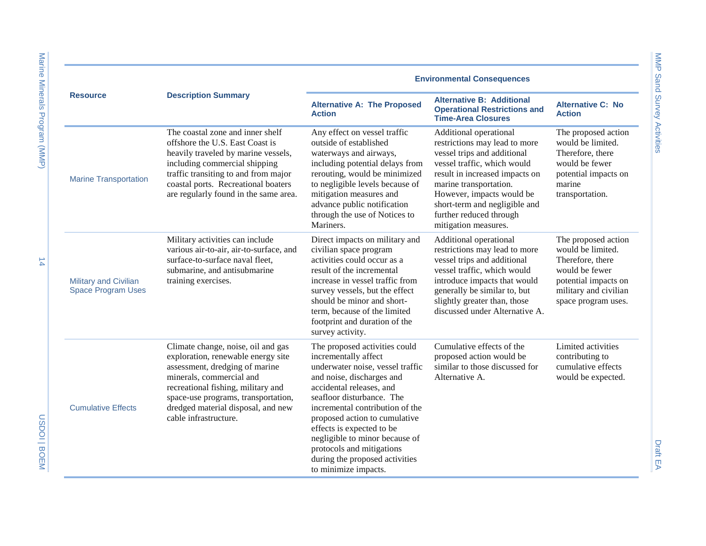|                                                    | <b>Description Summary</b>                                                                                                                                                                                                                                                         | <b>Environmental Consequences</b>                                                                                                                                                                                                                                                                                                                                                                         |                                                                                                                                                                                                                                                                                                    |                                                                                                                                                        |  |
|----------------------------------------------------|------------------------------------------------------------------------------------------------------------------------------------------------------------------------------------------------------------------------------------------------------------------------------------|-----------------------------------------------------------------------------------------------------------------------------------------------------------------------------------------------------------------------------------------------------------------------------------------------------------------------------------------------------------------------------------------------------------|----------------------------------------------------------------------------------------------------------------------------------------------------------------------------------------------------------------------------------------------------------------------------------------------------|--------------------------------------------------------------------------------------------------------------------------------------------------------|--|
| <b>Resource</b>                                    |                                                                                                                                                                                                                                                                                    | <b>Alternative A: The Proposed</b><br><b>Action</b>                                                                                                                                                                                                                                                                                                                                                       | <b>Alternative B: Additional</b><br><b>Alternative C: No</b><br><b>Operational Restrictions and</b><br><b>Action</b><br><b>Time-Area Closures</b>                                                                                                                                                  |                                                                                                                                                        |  |
| <b>Marine Transportation</b>                       | The coastal zone and inner shelf<br>offshore the U.S. East Coast is<br>heavily traveled by marine vessels,<br>including commercial shipping<br>traffic transiting to and from major<br>coastal ports. Recreational boaters<br>are regularly found in the same area.                | Any effect on vessel traffic<br>outside of established<br>waterways and airways,<br>including potential delays from<br>rerouting, would be minimized<br>to negligible levels because of<br>mitigation measures and<br>advance public notification<br>through the use of Notices to<br>Mariners.                                                                                                           | Additional operational<br>restrictions may lead to more<br>vessel trips and additional<br>vessel traffic, which would<br>result in increased impacts on<br>marine transportation.<br>However, impacts would be<br>short-term and negligible and<br>further reduced through<br>mitigation measures. | The proposed action<br>would be limited.<br>Therefore, there<br>would be fewer<br>potential impacts on<br>marine<br>transportation.                    |  |
| Military and Civilian<br><b>Space Program Uses</b> | Military activities can include<br>various air-to-air, air-to-surface, and<br>surface-to-surface naval fleet,<br>submarine, and antisubmarine<br>training exercises.                                                                                                               | Direct impacts on military and<br>civilian space program<br>activities could occur as a<br>result of the incremental<br>increase in vessel traffic from<br>survey vessels, but the effect<br>should be minor and short-<br>term, because of the limited<br>footprint and duration of the<br>survey activity.                                                                                              | Additional operational<br>restrictions may lead to more<br>vessel trips and additional<br>vessel traffic, which would<br>introduce impacts that would<br>generally be similar to, but<br>slightly greater than, those<br>discussed under Alternative A.                                            | The proposed action<br>would be limited.<br>Therefore, there<br>would be fewer<br>potential impacts on<br>military and civilian<br>space program uses. |  |
| <b>Cumulative Effects</b>                          | Climate change, noise, oil and gas<br>exploration, renewable energy site<br>assessment, dredging of marine<br>minerals, commercial and<br>recreational fishing, military and<br>space-use programs, transportation,<br>dredged material disposal, and new<br>cable infrastructure. | The proposed activities could<br>incrementally affect<br>underwater noise, vessel traffic<br>and noise, discharges and<br>accidental releases, and<br>seafloor disturbance. The<br>incremental contribution of the<br>proposed action to cumulative<br>effects is expected to be<br>negligible to minor because of<br>protocols and mitigations<br>during the proposed activities<br>to minimize impacts. | Cumulative effects of the<br>proposed action would be<br>similar to those discussed for<br>Alternative A.                                                                                                                                                                                          | Limited activities<br>contributing to<br>cumulative effects<br>would be expected.                                                                      |  |

Marine Minerals Program (MMP)

Marine Minerals Program (MMP)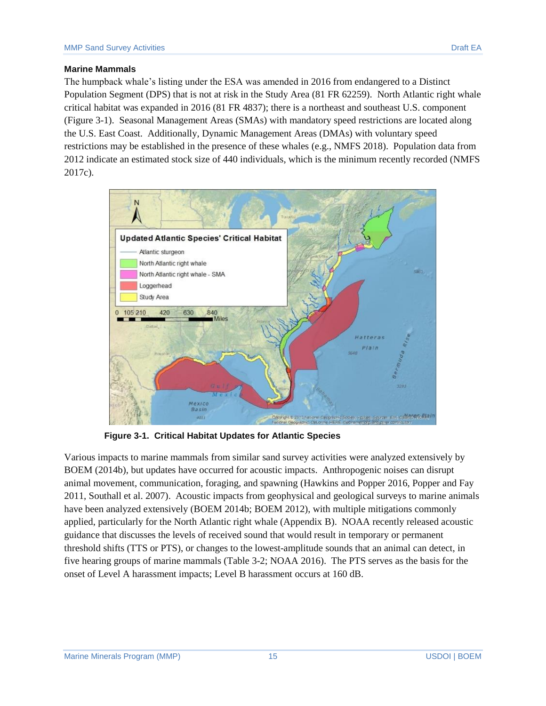#### **Marine Mammals**

The humpback whale's listing under the ESA was amended in 2016 from endangered to a Distinct Population Segment (DPS) that is not at risk in the Study Area (81 FR 62259). North Atlantic right whale critical habitat was expanded in 2016 (81 FR 4837); there is a northeast and southeast U.S. component (Figure 3-1). Seasonal Management Areas (SMAs) with mandatory speed restrictions are located along the U.S. East Coast. Additionally, Dynamic Management Areas (DMAs) with voluntary speed restrictions may be established in the presence of these whales (e.g., NMFS 2018). Population data from 2012 indicate an estimated stock size of 440 individuals, which is the minimum recently recorded (NMFS 2017c).



**Figure 3-1. Critical Habitat Updates for Atlantic Species**

Various impacts to marine mammals from similar sand survey activities were analyzed extensively by BOEM (2014b), but updates have occurred for acoustic impacts. Anthropogenic noises can disrupt animal movement, communication, foraging, and spawning (Hawkins and Popper 2016, Popper and Fay 2011, Southall et al. 2007). Acoustic impacts from geophysical and geological surveys to marine animals have been analyzed extensively (BOEM 2014b; BOEM 2012), with multiple mitigations commonly applied, particularly for the North Atlantic right whale (Appendix B). NOAA recently released acoustic guidance that discusses the levels of received sound that would result in temporary or permanent threshold shifts (TTS or PTS), or changes to the lowest-amplitude sounds that an animal can detect, in five hearing groups of marine mammals (Table 3-2; NOAA 2016). The PTS serves as the basis for the onset of Level A harassment impacts; Level B harassment occurs at 160 dB.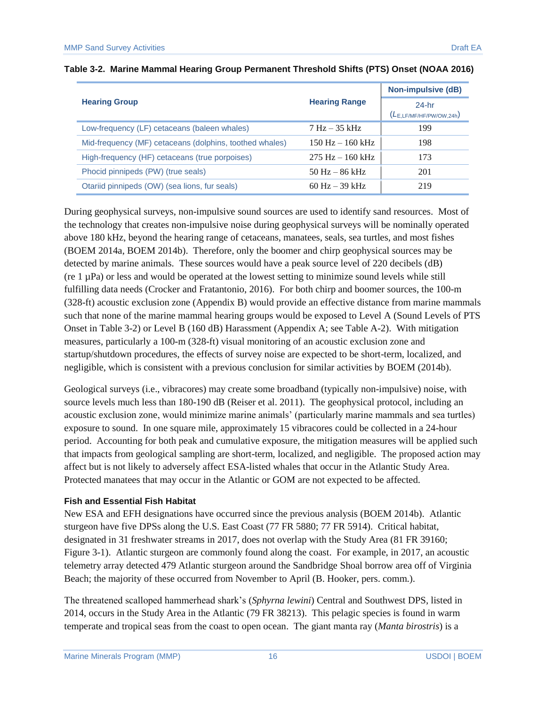|                                                         |                                    | <b>Non-impulsive (dB)</b>               |
|---------------------------------------------------------|------------------------------------|-----------------------------------------|
| <b>Hearing Group</b>                                    | <b>Hearing Range</b>               | $24-hr$<br>$(L_{E,LF/MF/HF/PW/OW,24h})$ |
| Low-frequency (LF) cetaceans (baleen whales)            | $7 Hz - 35 kHz$                    | 199                                     |
| Mid-frequency (MF) cetaceans (dolphins, toothed whales) | $150 \text{ Hz} - 160 \text{ kHz}$ | 198                                     |
| High-frequency (HF) cetaceans (true porpoises)          | $275 \text{ Hz} - 160 \text{ kHz}$ | 173                                     |
| Phocid pinnipeds (PW) (true seals)                      | $50 \text{ Hz} - 86 \text{ kHz}$   | 201                                     |
| Otariid pinnipeds (OW) (sea lions, fur seals)           | $60 \text{ Hz} - 39 \text{ kHz}$   | 219                                     |

#### **Table 3-2. Marine Mammal Hearing Group Permanent Threshold Shifts (PTS) Onset (NOAA 2016)**

During geophysical surveys, non-impulsive sound sources are used to identify sand resources. Most of the technology that creates non-impulsive noise during geophysical surveys will be nominally operated above 180 kHz, beyond the hearing range of cetaceans, manatees, seals, sea turtles, and most fishes (BOEM 2014a, BOEM 2014b). Therefore, only the boomer and chirp geophysical sources may be detected by marine animals. These sources would have a peak source level of 220 decibels (dB) (re  $1 \mu Pa$ ) or less and would be operated at the lowest setting to minimize sound levels while still fulfilling data needs (Crocker and Fratantonio, 2016). For both chirp and boomer sources, the 100-m (328-ft) acoustic exclusion zone (Appendix B) would provide an effective distance from marine mammals such that none of the marine mammal hearing groups would be exposed to Level A (Sound Levels of PTS Onset in Table 3-2) or Level B (160 dB) Harassment (Appendix A; see Table A-2). With mitigation measures, particularly a 100-m (328-ft) visual monitoring of an acoustic exclusion zone and startup/shutdown procedures, the effects of survey noise are expected to be short-term, localized, and negligible, which is consistent with a previous conclusion for similar activities by BOEM (2014b).

Geological surveys (i.e., vibracores) may create some broadband (typically non-impulsive) noise, with source levels much less than 180-190 dB (Reiser et al. 2011). The geophysical protocol, including an acoustic exclusion zone, would minimize marine animals' (particularly marine mammals and sea turtles) exposure to sound. In one square mile, approximately 15 vibracores could be collected in a 24-hour period. Accounting for both peak and cumulative exposure, the mitigation measures will be applied such that impacts from geological sampling are short-term, localized, and negligible. The proposed action may affect but is not likely to adversely affect ESA-listed whales that occur in the Atlantic Study Area. Protected manatees that may occur in the Atlantic or GOM are not expected to be affected.

#### **Fish and Essential Fish Habitat**

New ESA and EFH designations have occurred since the previous analysis (BOEM 2014b). Atlantic sturgeon have five DPSs along the U.S. East Coast (77 FR 5880; 77 FR 5914). Critical habitat, designated in 31 freshwater streams in 2017, does not overlap with the Study Area (81 FR 39160; Figure 3-1). Atlantic sturgeon are commonly found along the coast. For example, in 2017, an acoustic telemetry array detected 479 Atlantic sturgeon around the Sandbridge Shoal borrow area off of Virginia Beach; the majority of these occurred from November to April (B. Hooker, pers. comm.).

The threatened scalloped hammerhead shark's (*Sphyrna lewini*) Central and Southwest DPS, listed in 2014, occurs in the Study Area in the Atlantic (79 FR 38213). This pelagic species is found in warm temperate and tropical seas from the coast to open ocean. The giant manta ray (*Manta birostris*) is a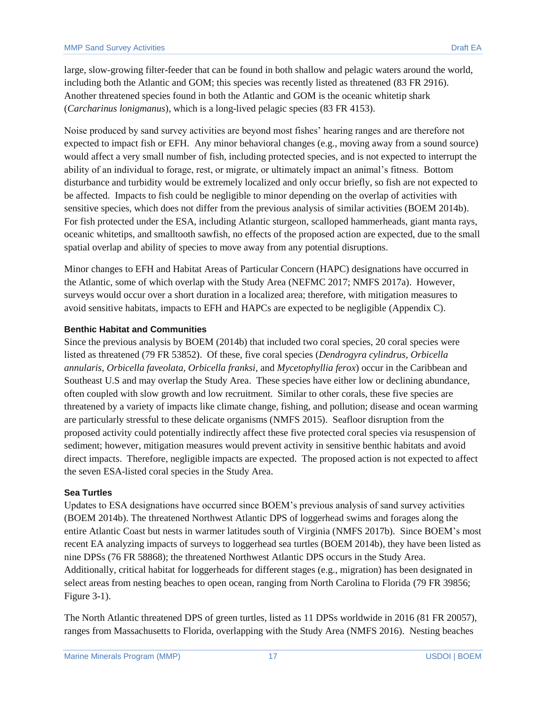large, slow-growing filter-feeder that can be found in both shallow and pelagic waters around the world, including both the Atlantic and GOM; this species was recently listed as threatened (83 FR 2916). Another threatened species found in both the Atlantic and GOM is the oceanic whitetip shark (*Carcharinus lonigmanus*), which is a long-lived pelagic species (83 FR 4153).

Noise produced by sand survey activities are beyond most fishes' hearing ranges and are therefore not expected to impact fish or EFH. Any minor behavioral changes (e.g., moving away from a sound source) would affect a very small number of fish, including protected species, and is not expected to interrupt the ability of an individual to forage, rest, or migrate, or ultimately impact an animal's fitness. Bottom disturbance and turbidity would be extremely localized and only occur briefly, so fish are not expected to be affected. Impacts to fish could be negligible to minor depending on the overlap of activities with sensitive species, which does not differ from the previous analysis of similar activities (BOEM 2014b). For fish protected under the ESA, including Atlantic sturgeon, scalloped hammerheads, giant manta rays, oceanic whitetips, and smalltooth sawfish, no effects of the proposed action are expected, due to the small spatial overlap and ability of species to move away from any potential disruptions.

Minor changes to EFH and Habitat Areas of Particular Concern (HAPC) designations have occurred in the Atlantic, some of which overlap with the Study Area (NEFMC 2017; NMFS 2017a). However, surveys would occur over a short duration in a localized area; therefore, with mitigation measures to avoid sensitive habitats, impacts to EFH and HAPCs are expected to be negligible (Appendix C).

#### **Benthic Habitat and Communities**

Since the previous analysis by BOEM (2014b) that included two coral species, 20 coral species were listed as threatened (79 FR 53852). Of these, five coral species (*Dendrogyra cylindrus, Orbicella annularis, Orbicella faveolata, Orbicella franksi,* and *Mycetophyllia ferox*) occur in the Caribbean and Southeast U.S and may overlap the Study Area. These species have either low or declining abundance, often coupled with slow growth and low recruitment. Similar to other corals, these five species are threatened by a variety of impacts like climate change, fishing, and pollution; disease and ocean warming are particularly stressful to these delicate organisms (NMFS 2015). Seafloor disruption from the proposed activity could potentially indirectly affect these five protected coral species via resuspension of sediment; however, mitigation measures would prevent activity in sensitive benthic habitats and avoid direct impacts. Therefore, negligible impacts are expected. The proposed action is not expected to affect the seven ESA-listed coral species in the Study Area.

#### **Sea Turtles**

Updates to ESA designations have occurred since BOEM's previous analysis of sand survey activities (BOEM 2014b). The threatened Northwest Atlantic DPS of loggerhead swims and forages along the entire Atlantic Coast but nests in warmer latitudes south of Virginia (NMFS 2017b). Since BOEM's most recent EA analyzing impacts of surveys to loggerhead sea turtles (BOEM 2014b), they have been listed as nine DPSs (76 FR 58868); the threatened Northwest Atlantic DPS occurs in the Study Area. Additionally, critical habitat for loggerheads for different stages (e.g., migration) has been designated in select areas from nesting beaches to open ocean, ranging from North Carolina to Florida (79 FR 39856; Figure 3-1).

The North Atlantic threatened DPS of green turtles, listed as 11 DPSs worldwide in 2016 (81 FR 20057), ranges from Massachusetts to Florida, overlapping with the Study Area (NMFS 2016). Nesting beaches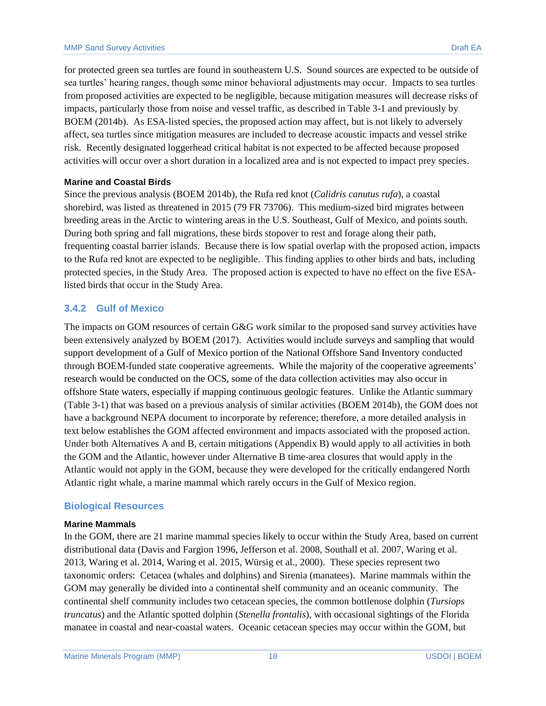for protected green sea turtles are found in southeastern U.S. Sound sources are expected to be outside of sea turtles' hearing ranges, though some minor behavioral adjustments may occur. Impacts to sea turtles from proposed activities are expected to be negligible, because mitigation measures will decrease risks of impacts, particularly those from noise and vessel traffic, as described in Table 3-1 and previously by BOEM (2014b). As ESA-listed species, the proposed action may affect, but is not likely to adversely affect, sea turtles since mitigation measures are included to decrease acoustic impacts and vessel strike risk. Recently designated loggerhead critical habitat is not expected to be affected because proposed activities will occur over a short duration in a localized area and is not expected to impact prey species.

#### **Marine and Coastal Birds**

Since the previous analysis (BOEM 2014b), the Rufa red knot (*Calidris canutus rufa*), a coastal shorebird, was listed as threatened in 2015 (79 FR 73706). This medium-sized bird migrates between breeding areas in the Arctic to wintering areas in the U.S. Southeast, Gulf of Mexico, and points south. During both spring and fall migrations, these birds stopover to rest and forage along their path, frequenting coastal barrier islands. Because there is low spatial overlap with the proposed action, impacts to the Rufa red knot are expected to be negligible. This finding applies to other birds and bats, including protected species, in the Study Area. The proposed action is expected to have no effect on the five ESAlisted birds that occur in the Study Area.

#### <span id="page-20-0"></span>**3.4.2 Gulf of Mexico**

The impacts on GOM resources of certain G&G work similar to the proposed sand survey activities have been extensively analyzed by BOEM (2017). Activities would include surveys and sampling that would support development of a Gulf of Mexico portion of the National Offshore Sand Inventory conducted through BOEM-funded state cooperative agreements. While the majority of the cooperative agreements' research would be conducted on the OCS, some of the data collection activities may also occur in offshore State waters, especially if mapping continuous geologic features. Unlike the Atlantic summary (Table 3-1) that was based on a previous analysis of similar activities (BOEM 2014b), the GOM does not have a background NEPA document to incorporate by reference; therefore, a more detailed analysis in text below establishes the GOM affected environment and impacts associated with the proposed action. Under both Alternatives A and B, certain mitigations (Appendix B) would apply to all activities in both the GOM and the Atlantic, however under Alternative B time-area closures that would apply in the Atlantic would not apply in the GOM, because they were developed for the critically endangered North Atlantic right whale, a marine mammal which rarely occurs in the Gulf of Mexico region.

#### **Biological Resources**

#### **Marine Mammals**

In the GOM, there are 21 marine mammal species likely to occur within the Study Area, based on current distributional data (Davis and Fargion 1996, Jefferson et al. 2008, Southall et al. 2007, Waring et al. 2013, Waring et al. 2014, Waring et al. 2015, Würsig et al., 2000). These species represent two taxonomic orders: Cetacea (whales and dolphins) and Sirenia (manatees). Marine mammals within the GOM may generally be divided into a continental shelf community and an oceanic community. The continental shelf community includes two cetacean species, the common bottlenose dolphin (*Tursiops truncatus*) and the Atlantic spotted dolphin (*Stenella frontalis*), with occasional sightings of the Florida manatee in coastal and near-coastal waters. Oceanic cetacean species may occur within the GOM, but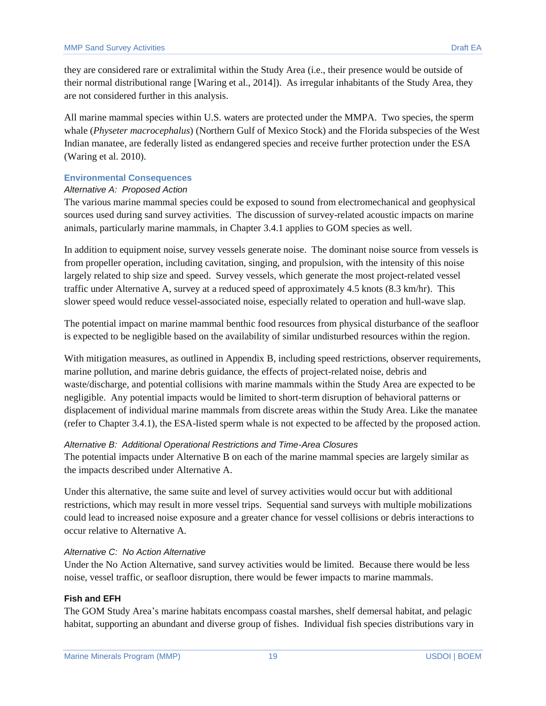they are considered rare or extralimital within the Study Area (i.e., their presence would be outside of their normal distributional range [Waring et al., 2014]). As irregular inhabitants of the Study Area, they are not considered further in this analysis.

All marine mammal species within U.S. waters are protected under the MMPA. Two species, the sperm whale (*Physeter macrocephalus*) (Northern Gulf of Mexico Stock) and the Florida subspecies of the West Indian manatee, are federally listed as endangered species and receive further protection under the ESA (Waring et al. 2010).

#### **Environmental Consequences**

#### *Alternative A: Proposed Action*

The various marine mammal species could be exposed to sound from electromechanical and geophysical sources used during sand survey activities. The discussion of survey-related acoustic impacts on marine animals, particularly marine mammals, in Chapter 3.4.1 applies to GOM species as well.

In addition to equipment noise, survey vessels generate noise. The dominant noise source from vessels is from propeller operation, including cavitation, singing, and propulsion, with the intensity of this noise largely related to ship size and speed. Survey vessels, which generate the most project-related vessel traffic under Alternative A, survey at a reduced speed of approximately 4.5 knots (8.3 km/hr). This slower speed would reduce vessel-associated noise, especially related to operation and hull-wave slap.

The potential impact on marine mammal benthic food resources from physical disturbance of the seafloor is expected to be negligible based on the availability of similar undisturbed resources within the region.

With mitigation measures, as outlined in Appendix B, including speed restrictions, observer requirements, marine pollution, and marine debris guidance, the effects of project-related noise, debris and waste/discharge, and potential collisions with marine mammals within the Study Area are expected to be negligible. Any potential impacts would be limited to short-term disruption of behavioral patterns or displacement of individual marine mammals from discrete areas within the Study Area. Like the manatee (refer to Chapter 3.4.1), the ESA-listed sperm whale is not expected to be affected by the proposed action.

#### *Alternative B: Additional Operational Restrictions and Time-Area Closures*

The potential impacts under Alternative B on each of the marine mammal species are largely similar as the impacts described under Alternative A.

Under this alternative, the same suite and level of survey activities would occur but with additional restrictions, which may result in more vessel trips. Sequential sand surveys with multiple mobilizations could lead to increased noise exposure and a greater chance for vessel collisions or debris interactions to occur relative to Alternative A.

#### *Alternative C: No Action Alternative*

Under the No Action Alternative, sand survey activities would be limited. Because there would be less noise, vessel traffic, or seafloor disruption, there would be fewer impacts to marine mammals.

#### **Fish and EFH**

The GOM Study Area's marine habitats encompass coastal marshes, shelf demersal habitat, and pelagic habitat, supporting an abundant and diverse group of fishes. Individual fish species distributions vary in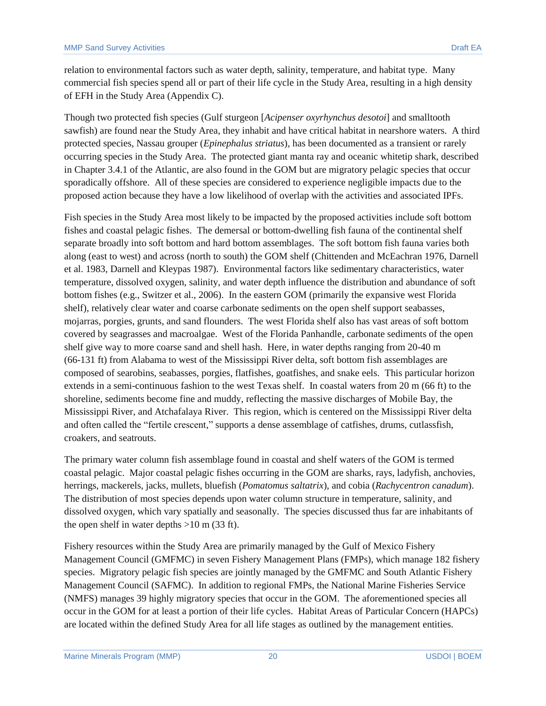relation to environmental factors such as water depth, salinity, temperature, and habitat type. Many commercial fish species spend all or part of their life cycle in the Study Area, resulting in a high density of EFH in the Study Area (Appendix C).

Though two protected fish species (Gulf sturgeon [*Acipenser oxyrhynchus desotoi*] and smalltooth sawfish) are found near the Study Area, they inhabit and have critical habitat in nearshore waters. A third protected species, Nassau grouper (*Epinephalus striatus*), has been documented as a transient or rarely occurring species in the Study Area. The protected giant manta ray and oceanic whitetip shark, described in Chapter 3.4.1 of the Atlantic, are also found in the GOM but are migratory pelagic species that occur sporadically offshore. All of these species are considered to experience negligible impacts due to the proposed action because they have a low likelihood of overlap with the activities and associated IPFs.

Fish species in the Study Area most likely to be impacted by the proposed activities include soft bottom fishes and coastal pelagic fishes. The demersal or bottom-dwelling fish fauna of the continental shelf separate broadly into soft bottom and hard bottom assemblages. The soft bottom fish fauna varies both along (east to west) and across (north to south) the GOM shelf (Chittenden and McEachran 1976, Darnell et al. 1983, Darnell and Kleypas 1987). Environmental factors like sedimentary characteristics, water temperature, dissolved oxygen, salinity, and water depth influence the distribution and abundance of soft bottom fishes (e.g., Switzer et al., 2006). In the eastern GOM (primarily the expansive west Florida shelf), relatively clear water and coarse carbonate sediments on the open shelf support seabasses, mojarras, porgies, grunts, and sand flounders. The west Florida shelf also has vast areas of soft bottom covered by seagrasses and macroalgae. West of the Florida Panhandle, carbonate sediments of the open shelf give way to more coarse sand and shell hash. Here, in water depths ranging from 20-40 m (66-131 ft) from Alabama to west of the Mississippi River delta, soft bottom fish assemblages are composed of searobins, seabasses, porgies, flatfishes, goatfishes, and snake eels. This particular horizon extends in a semi-continuous fashion to the west Texas shelf. In coastal waters from 20 m (66 ft) to the shoreline, sediments become fine and muddy, reflecting the massive discharges of Mobile Bay, the Mississippi River, and Atchafalaya River. This region, which is centered on the Mississippi River delta and often called the "fertile crescent," supports a dense assemblage of catfishes, drums, cutlassfish, croakers, and seatrouts.

The primary water column fish assemblage found in coastal and shelf waters of the GOM is termed coastal pelagic. Major coastal pelagic fishes occurring in the GOM are sharks, rays, ladyfish, anchovies, herrings, mackerels, jacks, mullets, bluefish (*Pomatomus saltatrix*), and cobia (*Rachycentron canadum*). The distribution of most species depends upon water column structure in temperature, salinity, and dissolved oxygen, which vary spatially and seasonally. The species discussed thus far are inhabitants of the open shelf in water depths >10 m (33 ft).

Fishery resources within the Study Area are primarily managed by the Gulf of Mexico Fishery Management Council (GMFMC) in seven Fishery Management Plans (FMPs), which manage 182 fishery species. Migratory pelagic fish species are jointly managed by the GMFMC and South Atlantic Fishery Management Council (SAFMC). In addition to regional FMPs, the National Marine Fisheries Service (NMFS) manages 39 highly migratory species that occur in the GOM. The aforementioned species all occur in the GOM for at least a portion of their life cycles. Habitat Areas of Particular Concern (HAPCs) are located within the defined Study Area for all life stages as outlined by the management entities.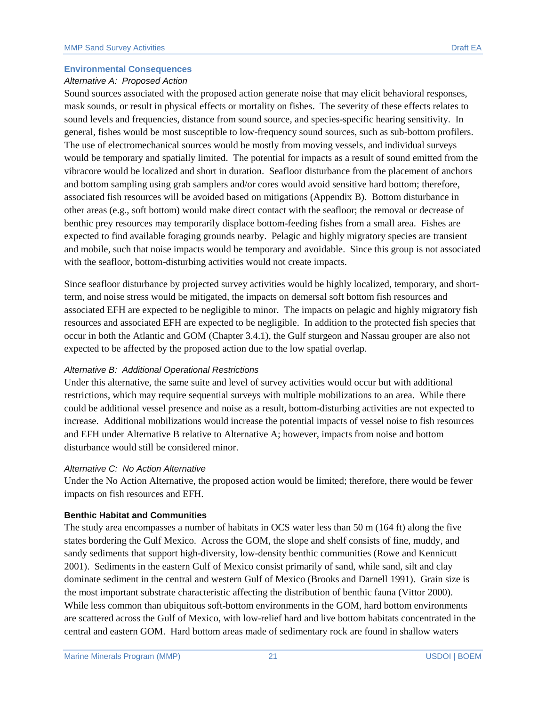#### **Environmental Consequences**

#### *Alternative A: Proposed Action*

Sound sources associated with the proposed action generate noise that may elicit behavioral responses, mask sounds, or result in physical effects or mortality on fishes. The severity of these effects relates to sound levels and frequencies, distance from sound source, and species-specific hearing sensitivity. In general, fishes would be most susceptible to low-frequency sound sources, such as sub-bottom profilers. The use of electromechanical sources would be mostly from moving vessels, and individual surveys would be temporary and spatially limited. The potential for impacts as a result of sound emitted from the vibracore would be localized and short in duration. Seafloor disturbance from the placement of anchors and bottom sampling using grab samplers and/or cores would avoid sensitive hard bottom; therefore, associated fish resources will be avoided based on mitigations (Appendix B). Bottom disturbance in other areas (e.g., soft bottom) would make direct contact with the seafloor; the removal or decrease of benthic prey resources may temporarily displace bottom-feeding fishes from a small area. Fishes are expected to find available foraging grounds nearby. Pelagic and highly migratory species are transient and mobile, such that noise impacts would be temporary and avoidable. Since this group is not associated with the seafloor, bottom-disturbing activities would not create impacts.

Since seafloor disturbance by projected survey activities would be highly localized, temporary, and shortterm, and noise stress would be mitigated, the impacts on demersal soft bottom fish resources and associated EFH are expected to be negligible to minor. The impacts on pelagic and highly migratory fish resources and associated EFH are expected to be negligible. In addition to the protected fish species that occur in both the Atlantic and GOM (Chapter 3.4.1), the Gulf sturgeon and Nassau grouper are also not expected to be affected by the proposed action due to the low spatial overlap.

#### *Alternative B: Additional Operational Restrictions*

Under this alternative, the same suite and level of survey activities would occur but with additional restrictions, which may require sequential surveys with multiple mobilizations to an area. While there could be additional vessel presence and noise as a result, bottom-disturbing activities are not expected to increase. Additional mobilizations would increase the potential impacts of vessel noise to fish resources and EFH under Alternative B relative to Alternative A; however, impacts from noise and bottom disturbance would still be considered minor.

#### *Alternative C: No Action Alternative*

Under the No Action Alternative, the proposed action would be limited; therefore, there would be fewer impacts on fish resources and EFH.

#### **Benthic Habitat and Communities**

The study area encompasses a number of habitats in OCS water less than 50 m (164 ft) along the five states bordering the Gulf Mexico. Across the GOM, the slope and shelf consists of fine, muddy, and sandy sediments that support high-diversity, low-density benthic communities (Rowe and Kennicutt 2001). Sediments in the eastern Gulf of Mexico consist primarily of sand, while sand, silt and clay dominate sediment in the central and western Gulf of Mexico (Brooks and Darnell 1991). Grain size is the most important substrate characteristic affecting the distribution of benthic fauna (Vittor 2000). While less common than ubiquitous soft-bottom environments in the GOM, hard bottom environments are scattered across the Gulf of Mexico, with low-relief hard and live bottom habitats concentrated in the central and eastern GOM. Hard bottom areas made of sedimentary rock are found in shallow waters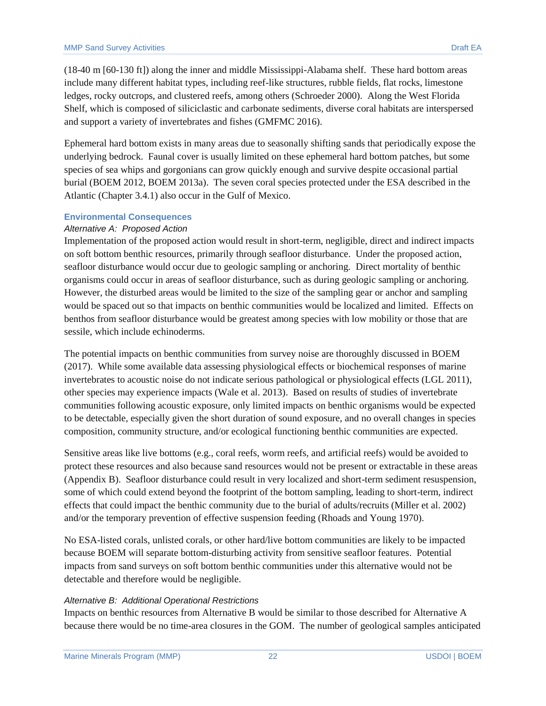(18-40 m [60-130 ft]) along the inner and middle Mississippi-Alabama shelf. These hard bottom areas include many different habitat types, including reef-like structures, rubble fields, flat rocks, limestone ledges, rocky outcrops, and clustered reefs, among others (Schroeder 2000). Along the West Florida Shelf, which is composed of siliciclastic and carbonate sediments, diverse coral habitats are interspersed and support a variety of invertebrates and fishes (GMFMC 2016).

Ephemeral hard bottom exists in many areas due to seasonally shifting sands that periodically expose the underlying bedrock. Faunal cover is usually limited on these ephemeral hard bottom patches, but some species of sea whips and gorgonians can grow quickly enough and survive despite occasional partial burial (BOEM 2012, BOEM 2013a). The seven coral species protected under the ESA described in the Atlantic (Chapter 3.4.1) also occur in the Gulf of Mexico.

#### **Environmental Consequences**

#### *Alternative A: Proposed Action*

Implementation of the proposed action would result in short-term, negligible, direct and indirect impacts on soft bottom benthic resources, primarily through seafloor disturbance. Under the proposed action, seafloor disturbance would occur due to geologic sampling or anchoring. Direct mortality of benthic organisms could occur in areas of seafloor disturbance, such as during geologic sampling or anchoring. However, the disturbed areas would be limited to the size of the sampling gear or anchor and sampling would be spaced out so that impacts on benthic communities would be localized and limited. Effects on benthos from seafloor disturbance would be greatest among species with low mobility or those that are sessile, which include echinoderms.

The potential impacts on benthic communities from survey noise are thoroughly discussed in BOEM (2017). While some available data assessing physiological effects or biochemical responses of marine invertebrates to acoustic noise do not indicate serious pathological or physiological effects (LGL 2011), other species may experience impacts (Wale et al. 2013). Based on results of studies of invertebrate communities following acoustic exposure, only limited impacts on benthic organisms would be expected to be detectable, especially given the short duration of sound exposure, and no overall changes in species composition, community structure, and/or ecological functioning benthic communities are expected.

Sensitive areas like live bottoms (e.g., coral reefs, worm reefs, and artificial reefs) would be avoided to protect these resources and also because sand resources would not be present or extractable in these areas (Appendix B). Seafloor disturbance could result in very localized and short-term sediment resuspension, some of which could extend beyond the footprint of the bottom sampling, leading to short-term, indirect effects that could impact the benthic community due to the burial of adults/recruits (Miller et al. 2002) and/or the temporary prevention of effective suspension feeding (Rhoads and Young 1970).

No ESA-listed corals, unlisted corals, or other hard/live bottom communities are likely to be impacted because BOEM will separate bottom-disturbing activity from sensitive seafloor features. Potential impacts from sand surveys on soft bottom benthic communities under this alternative would not be detectable and therefore would be negligible.

#### *Alternative B: Additional Operational Restrictions*

Impacts on benthic resources from Alternative B would be similar to those described for Alternative A because there would be no time-area closures in the GOM. The number of geological samples anticipated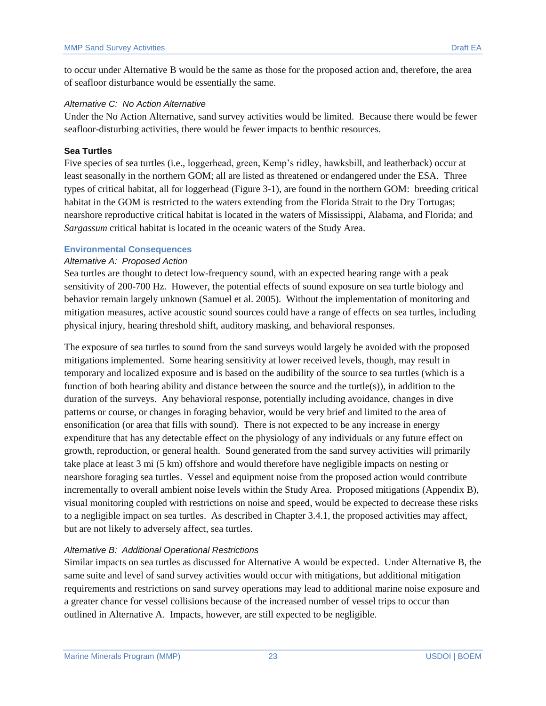to occur under Alternative B would be the same as those for the proposed action and, therefore, the area of seafloor disturbance would be essentially the same.

#### *Alternative C: No Action Alternative*

Under the No Action Alternative, sand survey activities would be limited. Because there would be fewer seafloor-disturbing activities, there would be fewer impacts to benthic resources.

#### **Sea Turtles**

Five species of sea turtles (i.e., loggerhead, green, Kemp's ridley, hawksbill, and leatherback) occur at least seasonally in the northern GOM; all are listed as threatened or endangered under the ESA. Three types of critical habitat, all for loggerhead (Figure 3-1), are found in the northern GOM: breeding critical habitat in the GOM is restricted to the waters extending from the Florida Strait to the Dry Tortugas; nearshore reproductive critical habitat is located in the waters of Mississippi, Alabama, and Florida; and *Sargassum* critical habitat is located in the oceanic waters of the Study Area.

#### **Environmental Consequences**

#### *Alternative A: Proposed Action*

Sea turtles are thought to detect low-frequency sound, with an expected hearing range with a peak sensitivity of 200-700 Hz. However, the potential effects of sound exposure on sea turtle biology and behavior remain largely unknown (Samuel et al. 2005). Without the implementation of monitoring and mitigation measures, active acoustic sound sources could have a range of effects on sea turtles, including physical injury, hearing threshold shift, auditory masking, and behavioral responses.

The exposure of sea turtles to sound from the sand surveys would largely be avoided with the proposed mitigations implemented. Some hearing sensitivity at lower received levels, though, may result in temporary and localized exposure and is based on the audibility of the source to sea turtles (which is a function of both hearing ability and distance between the source and the turtle(s)), in addition to the duration of the surveys. Any behavioral response, potentially including avoidance, changes in dive patterns or course, or changes in foraging behavior, would be very brief and limited to the area of ensonification (or area that fills with sound). There is not expected to be any increase in energy expenditure that has any detectable effect on the physiology of any individuals or any future effect on growth, reproduction, or general health. Sound generated from the sand survey activities will primarily take place at least 3 mi (5 km) offshore and would therefore have negligible impacts on nesting or nearshore foraging sea turtles. Vessel and equipment noise from the proposed action would contribute incrementally to overall ambient noise levels within the Study Area. Proposed mitigations (Appendix B), visual monitoring coupled with restrictions on noise and speed, would be expected to decrease these risks to a negligible impact on sea turtles. As described in Chapter 3.4.1, the proposed activities may affect, but are not likely to adversely affect, sea turtles.

#### *Alternative B: Additional Operational Restrictions*

Similar impacts on sea turtles as discussed for Alternative A would be expected. Under Alternative B, the same suite and level of sand survey activities would occur with mitigations, but additional mitigation requirements and restrictions on sand survey operations may lead to additional marine noise exposure and a greater chance for vessel collisions because of the increased number of vessel trips to occur than outlined in Alternative A. Impacts, however, are still expected to be negligible.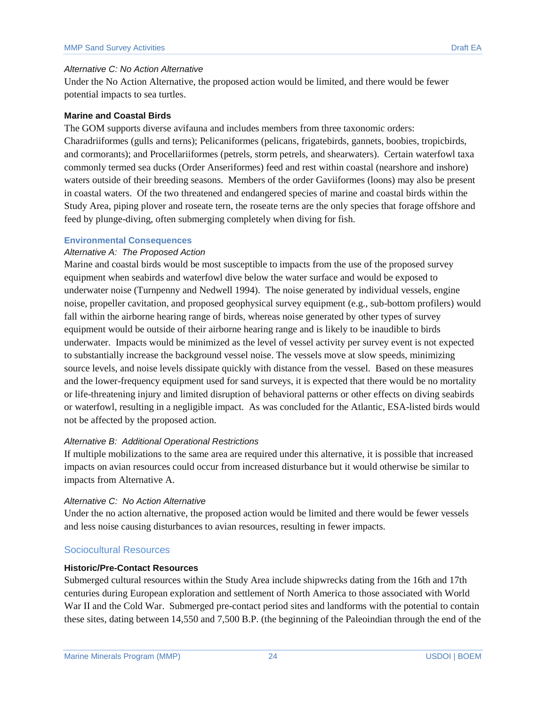#### *Alternative C: No Action Alternative*

Under the No Action Alternative, the proposed action would be limited, and there would be fewer potential impacts to sea turtles.

#### **Marine and Coastal Birds**

The GOM supports diverse avifauna and includes members from three taxonomic orders: Charadriiformes (gulls and terns); Pelicaniformes (pelicans, frigatebirds, gannets, boobies, tropicbirds, and cormorants); and Procellariiformes (petrels, storm petrels, and shearwaters). Certain waterfowl taxa commonly termed sea ducks (Order Anseriformes) feed and rest within coastal (nearshore and inshore) waters outside of their breeding seasons. Members of the order Gaviiformes (loons) may also be present in coastal waters. Of the two threatened and endangered species of marine and coastal birds within the Study Area, piping plover and roseate tern, the roseate terns are the only species that forage offshore and feed by plunge-diving, often submerging completely when diving for fish.

#### **Environmental Consequences**

#### *Alternative A: The Proposed Action*

Marine and coastal birds would be most susceptible to impacts from the use of the proposed survey equipment when seabirds and waterfowl dive below the water surface and would be exposed to underwater noise (Turnpenny and Nedwell 1994). The noise generated by individual vessels, engine noise, propeller cavitation, and proposed geophysical survey equipment (e.g., sub-bottom profilers) would fall within the airborne hearing range of birds, whereas noise generated by other types of survey equipment would be outside of their airborne hearing range and is likely to be inaudible to birds underwater. Impacts would be minimized as the level of vessel activity per survey event is not expected to substantially increase the background vessel noise. The vessels move at slow speeds, minimizing source levels, and noise levels dissipate quickly with distance from the vessel. Based on these measures and the lower-frequency equipment used for sand surveys, it is expected that there would be no mortality or life-threatening injury and limited disruption of behavioral patterns or other effects on diving seabirds or waterfowl, resulting in a negligible impact. As was concluded for the Atlantic, ESA-listed birds would not be affected by the proposed action.

#### *Alternative B: Additional Operational Restrictions*

If multiple mobilizations to the same area are required under this alternative, it is possible that increased impacts on avian resources could occur from increased disturbance but it would otherwise be similar to impacts from Alternative A.

#### *Alternative C: No Action Alternative*

Under the no action alternative, the proposed action would be limited and there would be fewer vessels and less noise causing disturbances to avian resources, resulting in fewer impacts.

#### Sociocultural Resources

#### **Historic/Pre-Contact Resources**

Submerged cultural resources within the Study Area include shipwrecks dating from the 16th and 17th centuries during European exploration and settlement of North America to those associated with World War II and the Cold War. Submerged pre-contact period sites and landforms with the potential to contain these sites, dating between 14,550 and 7,500 B.P. (the beginning of the Paleoindian through the end of the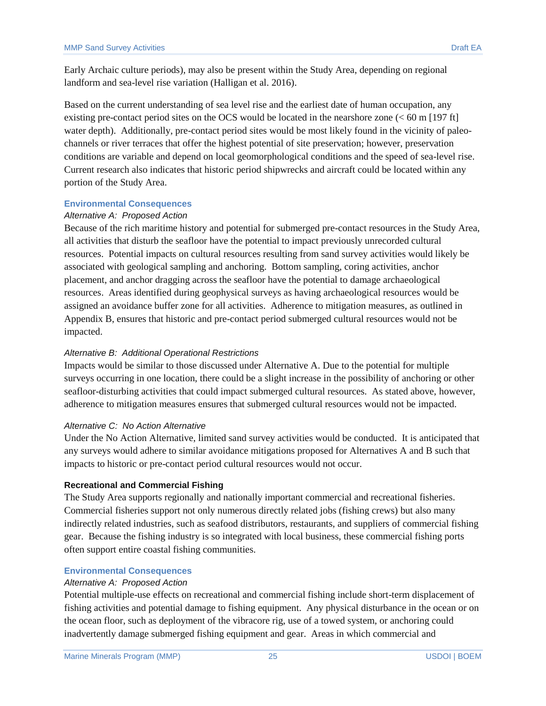Early Archaic culture periods), may also be present within the Study Area, depending on regional landform and sea-level rise variation (Halligan et al. 2016).

Based on the current understanding of sea level rise and the earliest date of human occupation, any existing pre-contact period sites on the OCS would be located in the nearshore zone (< 60 m [197 ft] water depth). Additionally, pre-contact period sites would be most likely found in the vicinity of paleochannels or river terraces that offer the highest potential of site preservation; however, preservation conditions are variable and depend on local geomorphological conditions and the speed of sea-level rise. Current research also indicates that historic period shipwrecks and aircraft could be located within any portion of the Study Area.

#### **Environmental Consequences**

#### *Alternative A: Proposed Action*

Because of the rich maritime history and potential for submerged pre-contact resources in the Study Area, all activities that disturb the seafloor have the potential to impact previously unrecorded cultural resources. Potential impacts on cultural resources resulting from sand survey activities would likely be associated with geological sampling and anchoring. Bottom sampling, coring activities, anchor placement, and anchor dragging across the seafloor have the potential to damage archaeological resources. Areas identified during geophysical surveys as having archaeological resources would be assigned an avoidance buffer zone for all activities. Adherence to mitigation measures, as outlined in Appendix B, ensures that historic and pre-contact period submerged cultural resources would not be impacted.

#### *Alternative B: Additional Operational Restrictions*

Impacts would be similar to those discussed under Alternative A. Due to the potential for multiple surveys occurring in one location, there could be a slight increase in the possibility of anchoring or other seafloor-disturbing activities that could impact submerged cultural resources. As stated above, however, adherence to mitigation measures ensures that submerged cultural resources would not be impacted.

#### *Alternative C: No Action Alternative*

Under the No Action Alternative, limited sand survey activities would be conducted. It is anticipated that any surveys would adhere to similar avoidance mitigations proposed for Alternatives A and B such that impacts to historic or pre-contact period cultural resources would not occur.

#### **Recreational and Commercial Fishing**

The Study Area supports regionally and nationally important commercial and recreational fisheries. Commercial fisheries support not only numerous directly related jobs (fishing crews) but also many indirectly related industries, such as seafood distributors, restaurants, and suppliers of commercial fishing gear. Because the fishing industry is so integrated with local business, these commercial fishing ports often support entire coastal fishing communities.

#### **Environmental Consequences**

#### *Alternative A: Proposed Action*

Potential multiple-use effects on recreational and commercial fishing include short-term displacement of fishing activities and potential damage to fishing equipment. Any physical disturbance in the ocean or on the ocean floor, such as deployment of the vibracore rig, use of a towed system, or anchoring could inadvertently damage submerged fishing equipment and gear. Areas in which commercial and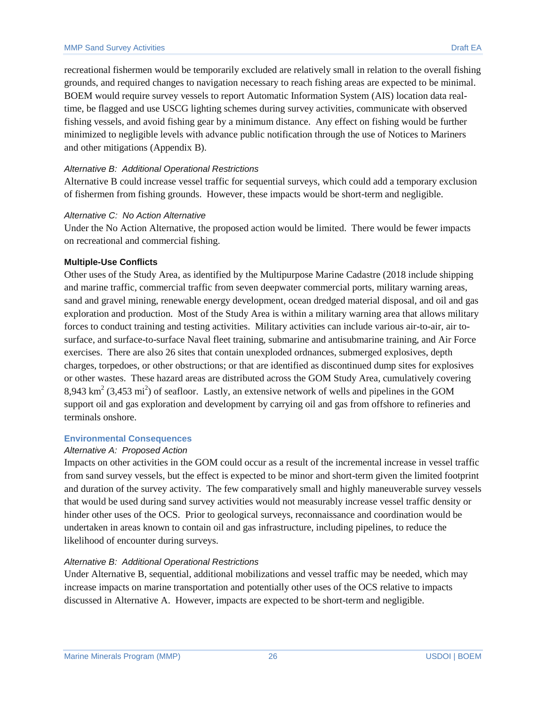recreational fishermen would be temporarily excluded are relatively small in relation to the overall fishing grounds, and required changes to navigation necessary to reach fishing areas are expected to be minimal. BOEM would require survey vessels to report Automatic Information System (AIS) location data realtime, be flagged and use USCG lighting schemes during survey activities, communicate with observed fishing vessels, and avoid fishing gear by a minimum distance. Any effect on fishing would be further minimized to negligible levels with advance public notification through the use of Notices to Mariners and other mitigations (Appendix B).

#### *Alternative B: Additional Operational Restrictions*

Alternative B could increase vessel traffic for sequential surveys, which could add a temporary exclusion of fishermen from fishing grounds. However, these impacts would be short-term and negligible.

#### *Alternative C: No Action Alternative*

Under the No Action Alternative, the proposed action would be limited. There would be fewer impacts on recreational and commercial fishing.

#### **Multiple-Use Conflicts**

Other uses of the Study Area, as identified by the Multipurpose Marine Cadastre (2018 include shipping and marine traffic, commercial traffic from seven deepwater commercial ports, military warning areas, sand and gravel mining, renewable energy development, ocean dredged material disposal, and oil and gas exploration and production. Most of the Study Area is within a military warning area that allows military forces to conduct training and testing activities. Military activities can include various air-to-air, air tosurface, and surface-to-surface Naval fleet training, submarine and antisubmarine training, and Air Force exercises. There are also 26 sites that contain unexploded ordnances, submerged explosives, depth charges, torpedoes, or other obstructions; or that are identified as discontinued dump sites for explosives or other wastes. These hazard areas are distributed across the GOM Study Area, cumulatively covering  $8,943 \text{ km}^2 (3,453 \text{ mi}^2)$  of seafloor. Lastly, an extensive network of wells and pipelines in the GOM support oil and gas exploration and development by carrying oil and gas from offshore to refineries and terminals onshore.

#### **Environmental Consequences**

#### *Alternative A: Proposed Action*

Impacts on other activities in the GOM could occur as a result of the incremental increase in vessel traffic from sand survey vessels, but the effect is expected to be minor and short-term given the limited footprint and duration of the survey activity. The few comparatively small and highly maneuverable survey vessels that would be used during sand survey activities would not measurably increase vessel traffic density or hinder other uses of the OCS. Prior to geological surveys, reconnaissance and coordination would be undertaken in areas known to contain oil and gas infrastructure, including pipelines, to reduce the likelihood of encounter during surveys.

#### *Alternative B: Additional Operational Restrictions*

Under Alternative B, sequential, additional mobilizations and vessel traffic may be needed, which may increase impacts on marine transportation and potentially other uses of the OCS relative to impacts discussed in Alternative A. However, impacts are expected to be short-term and negligible.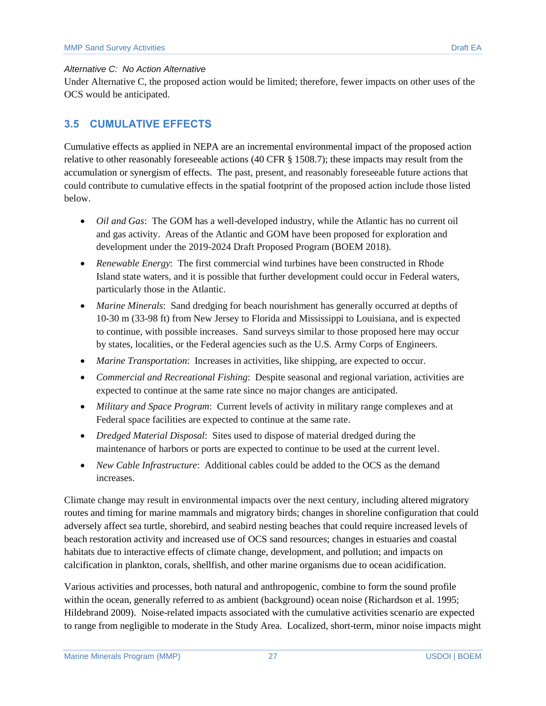#### *Alternative C: No Action Alternative*

Under Alternative C, the proposed action would be limited; therefore, fewer impacts on other uses of the OCS would be anticipated.

## <span id="page-29-0"></span>**3.5 CUMULATIVE EFFECTS**

Cumulative effects as applied in NEPA are an incremental environmental impact of the proposed action relative to other reasonably foreseeable actions (40 CFR § 1508.7); these impacts may result from the accumulation or synergism of effects. The past, present, and reasonably foreseeable future actions that could contribute to cumulative effects in the spatial footprint of the proposed action include those listed below.

- *Oil and Gas*: The GOM has a well-developed industry, while the Atlantic has no current oil and gas activity. Areas of the Atlantic and GOM have been proposed for exploration and development under the 2019-2024 Draft Proposed Program (BOEM 2018).
- *Renewable Energy*: The first commercial wind turbines have been constructed in Rhode Island state waters, and it is possible that further development could occur in Federal waters, particularly those in the Atlantic.
- *Marine Minerals*: Sand dredging for beach nourishment has generally occurred at depths of 10-30 m (33-98 ft) from New Jersey to Florida and Mississippi to Louisiana, and is expected to continue, with possible increases. Sand surveys similar to those proposed here may occur by states, localities, or the Federal agencies such as the U.S. Army Corps of Engineers.
- *Marine Transportation*: Increases in activities, like shipping, are expected to occur.
- *Commercial and Recreational Fishing*: Despite seasonal and regional variation, activities are expected to continue at the same rate since no major changes are anticipated.
- *Military and Space Program*: Current levels of activity in military range complexes and at Federal space facilities are expected to continue at the same rate.
- *Dredged Material Disposal*: Sites used to dispose of material dredged during the maintenance of harbors or ports are expected to continue to be used at the current level.
- *New Cable Infrastructure*: Additional cables could be added to the OCS as the demand increases.

Climate change may result in environmental impacts over the next century, including altered migratory routes and timing for marine mammals and migratory birds; changes in shoreline configuration that could adversely affect sea turtle, shorebird, and seabird nesting beaches that could require increased levels of beach restoration activity and increased use of OCS sand resources; changes in estuaries and coastal habitats due to interactive effects of climate change, development, and pollution; and impacts on calcification in plankton, corals, shellfish, and other marine organisms due to ocean acidification.

Various activities and processes, both natural and anthropogenic, combine to form the sound profile within the ocean, generally referred to as ambient (background) ocean noise (Richardson et al. 1995; Hildebrand 2009). Noise-related impacts associated with the cumulative activities scenario are expected to range from negligible to moderate in the Study Area. Localized, short-term, minor noise impacts might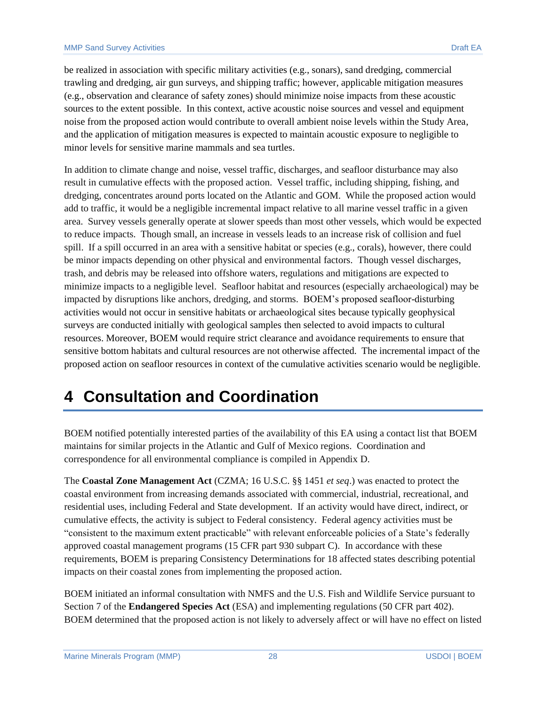be realized in association with specific military activities (e.g., sonars), sand dredging, commercial trawling and dredging, air gun surveys, and shipping traffic; however, applicable mitigation measures (e.g., observation and clearance of safety zones) should minimize noise impacts from these acoustic sources to the extent possible. In this context, active acoustic noise sources and vessel and equipment noise from the proposed action would contribute to overall ambient noise levels within the Study Area, and the application of mitigation measures is expected to maintain acoustic exposure to negligible to minor levels for sensitive marine mammals and sea turtles.

In addition to climate change and noise, vessel traffic, discharges, and seafloor disturbance may also result in cumulative effects with the proposed action. Vessel traffic, including shipping, fishing, and dredging, concentrates around ports located on the Atlantic and GOM. While the proposed action would add to traffic, it would be a negligible incremental impact relative to all marine vessel traffic in a given area. Survey vessels generally operate at slower speeds than most other vessels, which would be expected to reduce impacts. Though small, an increase in vessels leads to an increase risk of collision and fuel spill. If a spill occurred in an area with a sensitive habitat or species (e.g., corals), however, there could be minor impacts depending on other physical and environmental factors. Though vessel discharges, trash, and debris may be released into offshore waters, regulations and mitigations are expected to minimize impacts to a negligible level. Seafloor habitat and resources (especially archaeological) may be impacted by disruptions like anchors, dredging, and storms. BOEM's proposed seafloor-disturbing activities would not occur in sensitive habitats or archaeological sites because typically geophysical surveys are conducted initially with geological samples then selected to avoid impacts to cultural resources. Moreover, BOEM would require strict clearance and avoidance requirements to ensure that sensitive bottom habitats and cultural resources are not otherwise affected. The incremental impact of the proposed action on seafloor resources in context of the cumulative activities scenario would be negligible.

## <span id="page-30-0"></span>**4 Consultation and Coordination**

BOEM notified potentially interested parties of the availability of this EA using a contact list that BOEM maintains for similar projects in the Atlantic and Gulf of Mexico regions. Coordination and correspondence for all environmental compliance is compiled in Appendix D.

The **Coastal Zone Management Act** (CZMA; 16 U.S.C. §§ 1451 *et seq*.) was enacted to protect the coastal environment from increasing demands associated with commercial, industrial, recreational, and residential uses, including Federal and State development. If an activity would have direct, indirect, or cumulative effects, the activity is subject to Federal consistency. Federal agency activities must be "consistent to the maximum extent practicable" with relevant enforceable policies of a State's federally approved coastal management programs (15 CFR part 930 subpart C). In accordance with these requirements, BOEM is preparing Consistency Determinations for 18 affected states describing potential impacts on their coastal zones from implementing the proposed action.

BOEM initiated an informal consultation with NMFS and the U.S. Fish and Wildlife Service pursuant to Section 7 of the **Endangered Species Act** (ESA) and implementing regulations (50 CFR part 402). BOEM determined that the proposed action is not likely to adversely affect or will have no effect on listed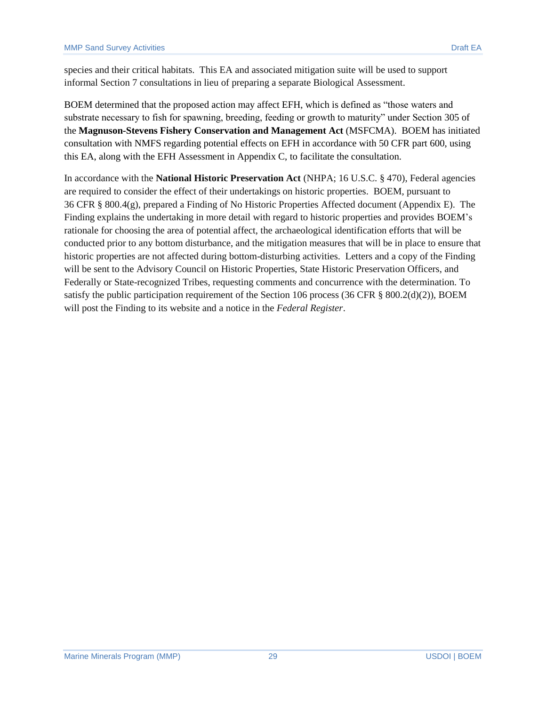species and their critical habitats. This EA and associated mitigation suite will be used to support informal Section 7 consultations in lieu of preparing a separate Biological Assessment.

BOEM determined that the proposed action may affect EFH, which is defined as "those waters and substrate necessary to fish for spawning, breeding, feeding or growth to maturity" under Section 305 of the **Magnuson-Stevens Fishery Conservation and Management Act** (MSFCMA). BOEM has initiated consultation with NMFS regarding potential effects on EFH in accordance with 50 CFR part 600, using this EA, along with the EFH Assessment in Appendix C, to facilitate the consultation.

In accordance with the **National Historic Preservation Act** (NHPA; 16 U.S.C. § 470), Federal agencies are required to consider the effect of their undertakings on historic properties. BOEM, pursuant to 36 CFR § 800.4(g), prepared a Finding of No Historic Properties Affected document (Appendix E). The Finding explains the undertaking in more detail with regard to historic properties and provides BOEM's rationale for choosing the area of potential affect, the archaeological identification efforts that will be conducted prior to any bottom disturbance, and the mitigation measures that will be in place to ensure that historic properties are not affected during bottom-disturbing activities. Letters and a copy of the Finding will be sent to the Advisory Council on Historic Properties, State Historic Preservation Officers, and Federally or State-recognized Tribes, requesting comments and concurrence with the determination. To satisfy the public participation requirement of the Section 106 process (36 CFR  $\S$  800.2(d)(2)), BOEM will post the Finding to its website and a notice in the *Federal Register*.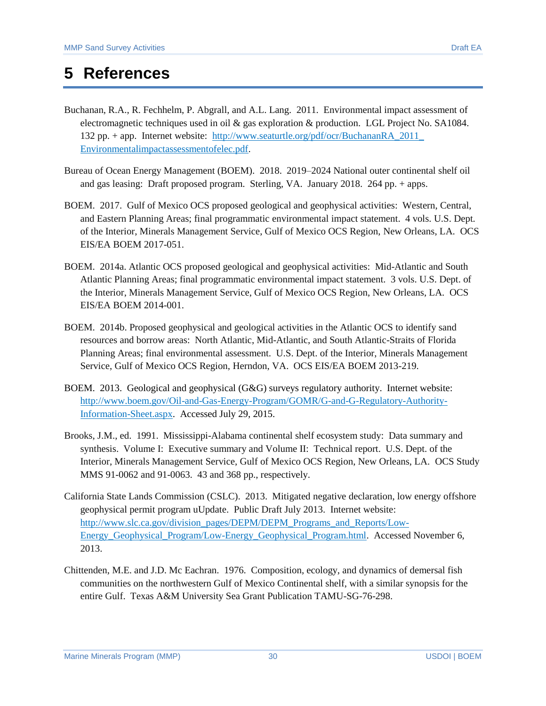## <span id="page-32-0"></span>**5 References**

- Buchanan, R.A., R. Fechhelm, P. Abgrall, and A.L. Lang. 2011. Environmental impact assessment of electromagnetic techniques used in oil & gas exploration & production. LGL Project No. SA1084. 132 pp. + app. Internet website: [http://www.seaturtle.org/pdf/ocr/BuchananRA\\_2011\\_](http://www.seaturtle.org/pdf/ocr/BuchananRA_2011_)  [Environmentalimpactassessmentofelec.pdf.](http://www.seaturtle.org/pdf/ocr/BuchananRA_2011_)
- Bureau of Ocean Energy Management (BOEM). 2018. 2019–2024 National outer continental shelf oil and gas leasing: Draft proposed program. Sterling, VA. January 2018. 264 pp. + apps.
- BOEM. 2017. Gulf of Mexico OCS proposed geological and geophysical activities: Western, Central, and Eastern Planning Areas; final programmatic environmental impact statement. 4 vols. U.S. Dept. of the Interior, Minerals Management Service, Gulf of Mexico OCS Region, New Orleans, LA. OCS EIS/EA BOEM 2017-051.
- BOEM. 2014a. Atlantic OCS proposed geological and geophysical activities: Mid-Atlantic and South Atlantic Planning Areas; final programmatic environmental impact statement. 3 vols. U.S. Dept. of the Interior, Minerals Management Service, Gulf of Mexico OCS Region, New Orleans, LA. OCS EIS/EA BOEM 2014-001.
- BOEM. 2014b. Proposed geophysical and geological activities in the Atlantic OCS to identify sand resources and borrow areas: North Atlantic, Mid-Atlantic, and South Atlantic-Straits of Florida Planning Areas; final environmental assessment. U.S. Dept. of the Interior, Minerals Management Service, Gulf of Mexico OCS Region, Herndon, VA. OCS EIS/EA BOEM 2013-219.
- BOEM. 2013. Geological and geophysical (G&G) surveys regulatory authority. Internet website: [http://www.boem.gov/Oil-and-Gas-Energy-Program/GOMR/G-and-G-Regulatory-Authority-](http://www.boem.gov/Oil-and-Gas-Energy-Program/GOMR/G-and-G-Regulatory-Authority-Information-Sheet.aspx)[Information-Sheet.aspx.](http://www.boem.gov/Oil-and-Gas-Energy-Program/GOMR/G-and-G-Regulatory-Authority-Information-Sheet.aspx) Accessed July 29, 2015.
- Brooks, J.M., ed. 1991. Mississippi-Alabama continental shelf ecosystem study: Data summary and synthesis. Volume I: Executive summary and Volume II: Technical report. U.S. Dept. of the Interior, Minerals Management Service, Gulf of Mexico OCS Region, New Orleans, LA. OCS Study MMS 91-0062 and 91-0063. 43 and 368 pp., respectively.
- California State Lands Commission (CSLC). 2013. Mitigated negative declaration, low energy offshore geophysical permit program uUpdate. Public Draft July 2013. Internet website: [http://www.slc.ca.gov/division\\_pages/DEPM/DEPM\\_Programs\\_and\\_Reports/Low-](http://www.slc.ca.gov/division_pages/DEPM/DEPM_Programs_and_Reports/Low-Energy_Geophysical_Program/Low-Energy_Geophysical_Program.html)[Energy\\_Geophysical\\_Program/Low-Energy\\_Geophysical\\_Program.html.](http://www.slc.ca.gov/division_pages/DEPM/DEPM_Programs_and_Reports/Low-Energy_Geophysical_Program/Low-Energy_Geophysical_Program.html) Accessed November 6, 2013.
- Chittenden, M.E. and J.D. Mc Eachran. 1976. Composition, ecology, and dynamics of demersal fish communities on the northwestern Gulf of Mexico Continental shelf, with a similar synopsis for the entire Gulf. Texas A&M University Sea Grant Publication TAMU-SG-76-298.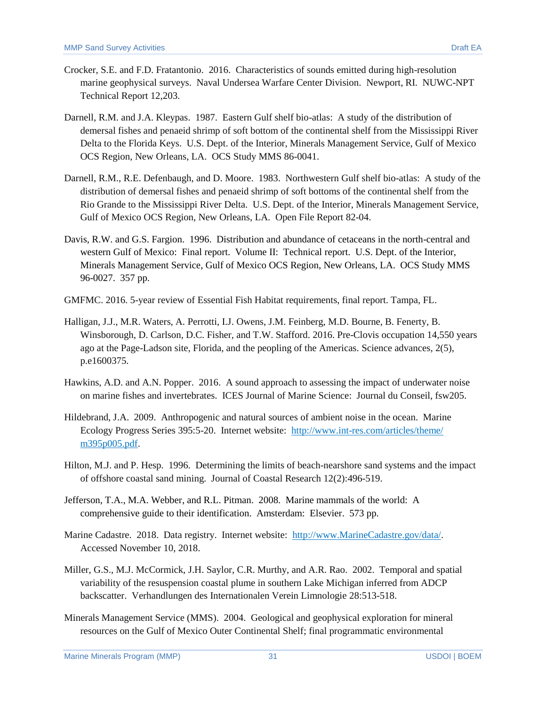- Crocker, S.E. and F.D. Fratantonio. 2016. Characteristics of sounds emitted during high-resolution marine geophysical surveys. Naval Undersea Warfare Center Division. Newport, RI. NUWC-NPT Technical Report 12,203.
- Darnell, R.M. and J.A. Kleypas. 1987. Eastern Gulf shelf bio-atlas: A study of the distribution of demersal fishes and penaeid shrimp of soft bottom of the continental shelf from the Mississippi River Delta to the Florida Keys. U.S. Dept. of the Interior, Minerals Management Service, Gulf of Mexico OCS Region, New Orleans, LA. OCS Study MMS 86-0041.
- Darnell, R.M., R.E. Defenbaugh, and D. Moore. 1983. Northwestern Gulf shelf bio-atlas: A study of the distribution of demersal fishes and penaeid shrimp of soft bottoms of the continental shelf from the Rio Grande to the Mississippi River Delta. U.S. Dept. of the Interior, Minerals Management Service, Gulf of Mexico OCS Region, New Orleans, LA. Open File Report 82-04.
- Davis, R.W. and G.S. Fargion. 1996. Distribution and abundance of cetaceans in the north-central and western Gulf of Mexico: Final report. Volume II: Technical report. U.S. Dept. of the Interior, Minerals Management Service, Gulf of Mexico OCS Region, New Orleans, LA. OCS Study MMS 96-0027. 357 pp.
- GMFMC. 2016. 5-year review of Essential Fish Habitat requirements, final report. Tampa, FL.
- Halligan, J.J., M.R. Waters, A. Perrotti, I.J. Owens, J.M. Feinberg, M.D. Bourne, B. Fenerty, B. Winsborough, D. Carlson, D.C. Fisher, and T.W. Stafford. 2016. Pre-Clovis occupation 14,550 years ago at the Page-Ladson site, Florida, and the peopling of the Americas. Science advances, 2(5), p.e1600375.
- Hawkins, A.D. and A.N. Popper. 2016. A sound approach to assessing the impact of underwater noise on marine fishes and invertebrates. ICES Journal of Marine Science: Journal du Conseil, fsw205.
- Hildebrand, J.A. 2009. Anthropogenic and natural sources of ambient noise in the ocean. Marine Ecology Progress Series 395:5-20. Internet website: [http://www.int-res.com/articles/theme/](http://www.int-res.com/articles/theme/‌m395p005.pdf) [m395p005.pdf.](http://www.int-res.com/articles/theme/‌m395p005.pdf)
- Hilton, M.J. and P. Hesp. 1996. Determining the limits of beach-nearshore sand systems and the impact of offshore coastal sand mining. Journal of Coastal Research 12(2):496-519.
- Jefferson, T.A., M.A. Webber, and R.L. Pitman. 2008. Marine mammals of the world: A comprehensive guide to their identification. Amsterdam: Elsevier. 573 pp.
- Marine Cadastre. 2018. Data registry. Internet website: [http://www.MarineCadastre.gov/data/.](http://www.marinecadastre.gov/data/) Accessed November 10, 2018.
- Miller, G.S., M.J. McCormick, J.H. Saylor, C.R. Murthy, and A.R. Rao. 2002. Temporal and spatial variability of the resuspension coastal plume in southern Lake Michigan inferred from ADCP backscatter. [Verhandlungen des Internationalen Verein Limnologie](http://www.speciation.net/Database/Journals/Verhandlungen-des-Internationalen-Verein-Limnologie-;i2275) 28:513-518.
- Minerals Management Service (MMS). 2004. Geological and geophysical exploration for mineral resources on the Gulf of Mexico Outer Continental Shelf; final programmatic environmental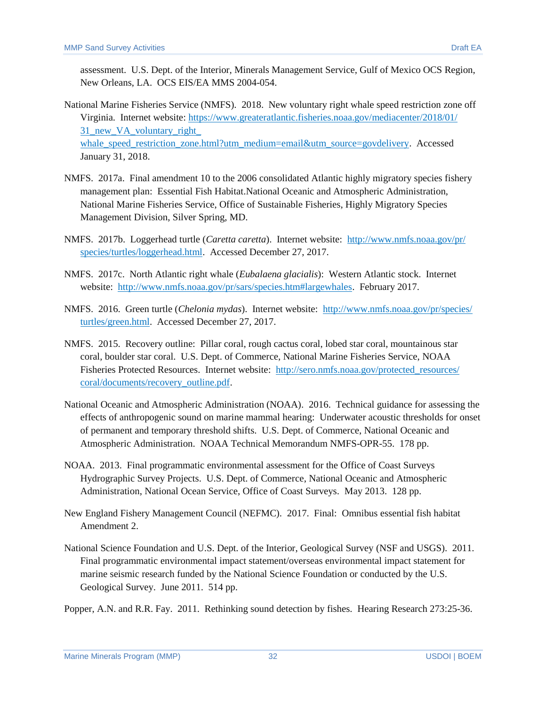assessment. U.S. Dept. of the Interior, Minerals Management Service, Gulf of Mexico OCS Region, New Orleans, LA. OCS EIS/EA MMS 2004-054.

- National Marine Fisheries Service (NMFS). 2018. New voluntary right whale speed restriction zone off Virginia. Internet website: [https://www.greateratlantic.fisheries.noaa.gov/mediacenter/2018/01/](https://www.greateratlantic.fisheries.noaa.gov/mediacenter/2018/01/%2031_new_VA_voluntary_‌right_‌whale_speed_restriction_zone.html?utm_medium=email&utm_source=govdelivery)  31 new VA voluntary right whale speed restriction zone.html?utm\_medium=email&utm\_source=govdelivery. Accessed January 31, 2018.
- NMFS. 2017a. Final amendment 10 to the 2006 consolidated Atlantic highly migratory species fishery management plan: Essential Fish Habitat.National Oceanic and Atmospheric Administration, National Marine Fisheries Service, Office of Sustainable Fisheries, Highly Migratory Species Management Division, Silver Spring, MD.
- NMFS. 2017b. Loggerhead turtle (*Caretta caretta*). Internet website: [http://www.nmfs.noaa.gov/pr/](http://www.nmfs.noaa.gov/pr/‌species/turtles/loggerhead.html) [species/turtles/loggerhead.html.](http://www.nmfs.noaa.gov/pr/‌species/turtles/loggerhead.html) Accessed December 27, 2017.
- NMFS. 2017c. North Atlantic right whale (*Eubalaena glacialis*): Western Atlantic stock. Internet website: [http://www.nmfs.noaa.gov/pr/sars/species.htm#largewhales.](http://www.nmfs.noaa.gov/pr/sars/species.htm#largewhales) February 2017.
- NMFS. 2016. Green turtle (*Chelonia mydas*). Internet website: [http://www.nmfs.noaa.gov/pr/species/](http://www.nmfs.noaa.gov/pr/species/‌turtles/green.html) [turtles/green.html.](http://www.nmfs.noaa.gov/pr/species/‌turtles/green.html) Accessed December 27, 2017.
- NMFS. 2015. Recovery outline: Pillar coral, rough cactus coral, lobed star coral, mountainous star coral, boulder star coral. U.S. Dept. of Commerce, National Marine Fisheries Service, NOAA Fisheries Protected Resources. Internet website: [http://sero.nmfs.noaa.gov/protected\\_resources/](http://sero.nmfs.noaa.gov/protected_resources/‌coral/‌documents/‌recovery_outline.pdf) [coral/documents/recovery\\_outline.pdf.](http://sero.nmfs.noaa.gov/protected_resources/‌coral/‌documents/‌recovery_outline.pdf)
- National Oceanic and Atmospheric Administration (NOAA). 2016. Technical guidance for assessing the effects of anthropogenic sound on marine mammal hearing: Underwater acoustic thresholds for onset of permanent and temporary threshold shifts. U.S. Dept. of Commerce, National Oceanic and Atmospheric Administration. NOAA Technical Memorandum NMFS-OPR-55. 178 pp.
- NOAA. 2013. Final programmatic environmental assessment for the Office of Coast Surveys Hydrographic Survey Projects. U.S. Dept. of Commerce, National Oceanic and Atmospheric Administration, National Ocean Service, Office of Coast Surveys. May 2013. 128 pp.
- New England Fishery Management Council (NEFMC). 2017. Final: Omnibus essential fish habitat Amendment 2.
- National Science Foundation and U.S. Dept. of the Interior, Geological Survey (NSF and USGS). 2011. Final programmatic environmental impact statement/overseas environmental impact statement for marine seismic research funded by the National Science Foundation or conducted by the U.S. Geological Survey. June 2011. 514 pp.

Popper, A.N. and R.R. Fay. 2011. Rethinking sound detection by fishes. Hearing Research 273:25-36.

Marine Minerals Program (MMP) 32 USDOI | BOEM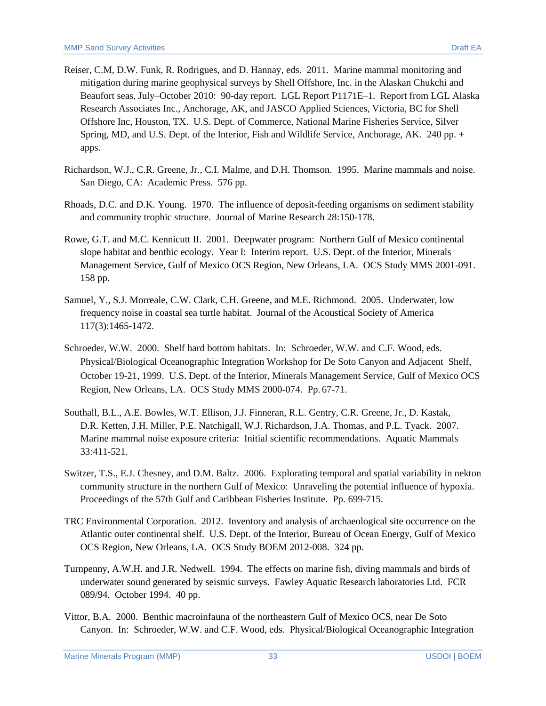- Reiser, C.M, D.W. Funk, R. Rodrigues, and D. Hannay, eds. 2011. Marine mammal monitoring and mitigation during marine geophysical surveys by Shell Offshore, Inc. in the Alaskan Chukchi and Beaufort seas, July–October 2010: 90-day report. LGL Report P1171E–1. Report from LGL Alaska Research Associates Inc., Anchorage, AK, and JASCO Applied Sciences, Victoria, BC for Shell Offshore Inc, Houston, TX. U.S. Dept. of Commerce, National Marine Fisheries Service, Silver Spring, MD, and U.S. Dept. of the Interior, Fish and Wildlife Service, Anchorage, AK. 240 pp. + apps.
- Richardson, W.J., C.R. Greene, Jr., C.I. Malme, and D.H. Thomson. 1995. Marine mammals and noise. San Diego, CA: Academic Press. 576 pp.
- Rhoads, D.C. and D.K. Young. 1970. The influence of deposit-feeding organisms on sediment stability and community trophic structure. Journal of Marine Research 28:150-178.
- Rowe, G.T. and M.C. Kennicutt II. 2001. Deepwater program: Northern Gulf of Mexico continental slope habitat and benthic ecology. Year I: Interim report. U.S. Dept. of the Interior, Minerals Management Service, Gulf of Mexico OCS Region, New Orleans, LA. OCS Study MMS 2001-091. 158 pp.
- Samuel, Y., S.J. Morreale, C.W. Clark, C.H. Greene, and M.E. Richmond. 2005. Underwater, low frequency noise in coastal sea turtle habitat. Journal of the Acoustical Society of America 117(3):1465-1472.
- Schroeder, W.W. 2000. Shelf hard bottom habitats. In: Schroeder, W.W. and C.F. Wood, eds. Physical/Biological Oceanographic Integration Workshop for De Soto Canyon and Adjacent Shelf, October 19-21, 1999. U.S. Dept. of the Interior, Minerals Management Service, Gulf of Mexico OCS Region, New Orleans, LA. OCS Study MMS 2000-074. Pp. 67-71.
- Southall, B.L., A.E. Bowles, W.T. Ellison, J.J. Finneran, R.L. Gentry, C.R. Greene, Jr., D. Kastak, D.R. Ketten, J.H. Miller, P.E. Natchigall, W.J. Richardson, J.A. Thomas, and P.L. Tyack. 2007. Marine mammal noise exposure criteria: Initial scientific recommendations. Aquatic Mammals 33:411-521.
- Switzer, T.S., E.J. Chesney, and D.M. Baltz. 2006. Explorating temporal and spatial variability in nekton community structure in the northern Gulf of Mexico: Unraveling the potential influence of hypoxia. Proceedings of the 57th Gulf and Caribbean Fisheries Institute. Pp. 699-715.
- TRC Environmental Corporation. 2012. Inventory and analysis of archaeological site occurrence on the Atlantic outer continental shelf. U.S. Dept. of the Interior, Bureau of Ocean Energy, Gulf of Mexico OCS Region, New Orleans, LA. OCS Study BOEM 2012-008. 324 pp.
- Turnpenny, A.W.H. and J.R. Nedwell. 1994. The effects on marine fish, diving mammals and birds of underwater sound generated by seismic surveys. Fawley Aquatic Research laboratories Ltd. FCR 089/94. October 1994. 40 pp.
- Vittor, B.A. 2000. Benthic macroinfauna of the northeastern Gulf of Mexico OCS, near De Soto Canyon. In: Schroeder, W.W. and C.F. Wood, eds. Physical/Biological Oceanographic Integration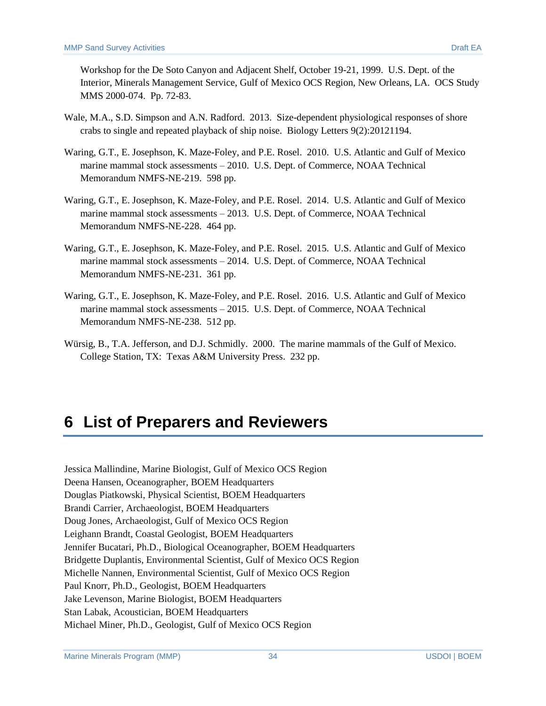Workshop for the De Soto Canyon and Adjacent Shelf, October 19-21, 1999. U.S. Dept. of the Interior, Minerals Management Service, Gulf of Mexico OCS Region, New Orleans, LA. OCS Study MMS 2000-074. Pp. 72-83.

- Wale, M.A., S.D. Simpson and A.N. Radford. 2013. Size-dependent physiological responses of shore crabs to single and repeated playback of ship noise. Biology Letters 9(2):20121194.
- Waring, G.T., E. Josephson, K. Maze-Foley, and P.E. Rosel. 2010. U.S. Atlantic and Gulf of Mexico marine mammal stock assessments – 2010. U.S. Dept. of Commerce, NOAA Technical Memorandum NMFS-NE-219. 598 pp.
- Waring, G.T., E. Josephson, K. Maze-Foley, and P.E. Rosel. 2014. U.S. Atlantic and Gulf of Mexico marine mammal stock assessments – 2013. U.S. Dept. of Commerce, NOAA Technical Memorandum NMFS-NE-228. 464 pp.
- Waring, G.T., E. Josephson, K. Maze-Foley, and P.E. Rosel. 2015. U.S. Atlantic and Gulf of Mexico marine mammal stock assessments – 2014. U.S. Dept. of Commerce, NOAA Technical Memorandum NMFS-NE-231. 361 pp.
- Waring, G.T., E. Josephson, K. Maze-Foley, and P.E. Rosel. 2016. U.S. Atlantic and Gulf of Mexico marine mammal stock assessments – 2015. U.S. Dept. of Commerce, NOAA Technical Memorandum NMFS-NE-238. 512 pp.
- Würsig, B., T.A. Jefferson, and D.J. Schmidly. 2000. The marine mammals of the Gulf of Mexico. College Station, TX: Texas A&M University Press. 232 pp.

## <span id="page-36-0"></span>**6 List of Preparers and Reviewers**

Jessica Mallindine, Marine Biologist, Gulf of Mexico OCS Region Deena Hansen, Oceanographer, BOEM Headquarters Douglas Piatkowski, Physical Scientist, BOEM Headquarters Brandi Carrier, Archaeologist, BOEM Headquarters Doug Jones, Archaeologist, Gulf of Mexico OCS Region Leighann Brandt, Coastal Geologist, BOEM Headquarters Jennifer Bucatari, Ph.D., Biological Oceanographer, BOEM Headquarters Bridgette Duplantis, Environmental Scientist, Gulf of Mexico OCS Region Michelle Nannen, Environmental Scientist, Gulf of Mexico OCS Region Paul Knorr, Ph.D., Geologist, BOEM Headquarters Jake Levenson, Marine Biologist, BOEM Headquarters Stan Labak, Acoustician, BOEM Headquarters Michael Miner, Ph.D., Geologist, Gulf of Mexico OCS Region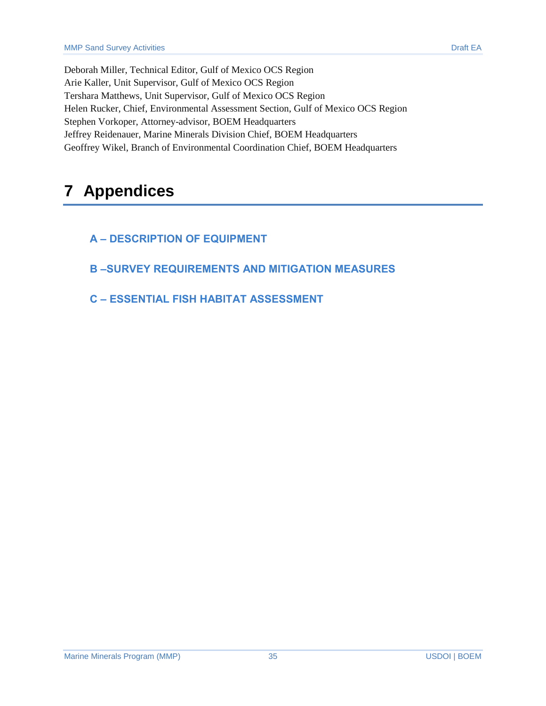Deborah Miller, Technical Editor, Gulf of Mexico OCS Region Arie Kaller, Unit Supervisor, Gulf of Mexico OCS Region Tershara Matthews, Unit Supervisor, Gulf of Mexico OCS Region Helen Rucker, Chief, Environmental Assessment Section, Gulf of Mexico OCS Region Stephen Vorkoper, Attorney-advisor, BOEM Headquarters Jeffrey Reidenauer, Marine Minerals Division Chief, BOEM Headquarters Geoffrey Wikel, Branch of Environmental Coordination Chief, BOEM Headquarters

## <span id="page-37-0"></span>**7 Appendices**

- <span id="page-37-1"></span>**A – DESCRIPTION OF EQUIPMENT**
- <span id="page-37-2"></span>**B –SURVEY REQUIREMENTS AND MITIGATION MEASURES**
- <span id="page-37-3"></span>**C – ESSENTIAL FISH HABITAT ASSESSMENT**